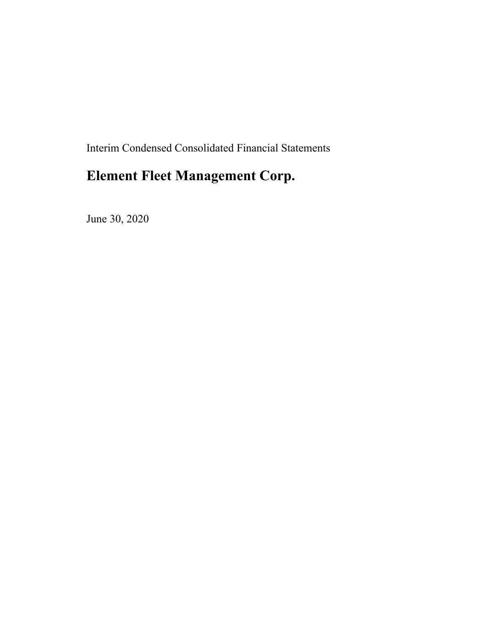Interim Condensed Consolidated Financial Statements

# **Element Fleet Management Corp.**

June 30, 2020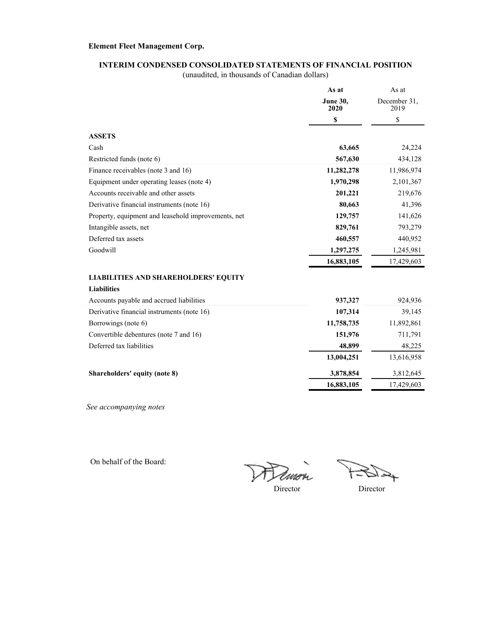### **INTERIM CONDENSED CONSOLIDATED STATEMENTS OF FINANCIAL POSITION**

(unaudited, in thousands of Canadian dollars)

| <b>June 30,</b><br>December 31.<br>2020<br>2019                 |           |
|-----------------------------------------------------------------|-----------|
|                                                                 |           |
| \$<br>\$                                                        |           |
| <b>ASSETS</b>                                                   |           |
| Cash<br>63,665                                                  | 24,224    |
| 567,630<br>Restricted funds (note 6)                            | 434,128   |
| Finance receivables (note 3 and 16)<br>11,282,278<br>11,986,974 |           |
| Equipment under operating leases (note 4)<br>1,970,298          | 2,101,367 |
| Accounts receivable and other assets<br>201,221                 | 219,676   |
| Derivative financial instruments (note 16)<br>80,663            | 41,396    |
| Property, equipment and leasehold improvements, net<br>129,757  | 141,626   |
| Intangible assets, net<br>829,761                               | 793,279   |
| Deferred tax assets<br>460,557                                  | 440,952   |
| Goodwill<br>1,297,275                                           | 1,245,981 |
| 16,883,105<br>17,429,603                                        |           |
| <b>LIABILITIES AND SHAREHOLDERS' EQUITY</b>                     |           |
| <b>Liabilities</b>                                              |           |
| Accounts payable and accrued liabilities<br>937,327             | 924,936   |
| Derivative financial instruments (note 16)<br>107,314           | 39,145    |
| Borrowings (note 6)<br>11,758,735<br>11,892,861                 |           |
| Convertible debentures (note 7 and 16)<br>151,976               | 711,791   |
| Deferred tax liabilities<br>48,899                              | 48,225    |
| 13,004,251<br>13,616,958                                        |           |
| 3,878,854<br>Shareholders' equity (note 8)                      | 3,812,645 |
| 16,883,105<br>17,429,603                                        |           |

*See accompanying notes*

On behalf of the Board:

Dimo  $\frac{1}{2}$ 

↬

Director Director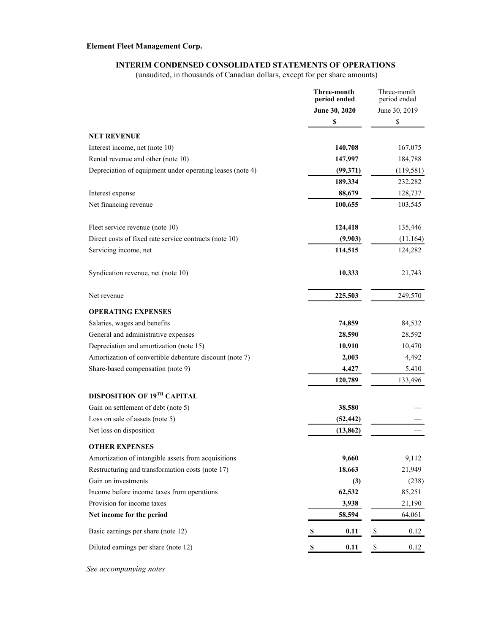### **INTERIM CONDENSED CONSOLIDATED STATEMENTS OF OPERATIONS**

(unaudited, in thousands of Canadian dollars, except for per share amounts)

|                                                           | <b>Three-month</b><br>period ended | Three-month<br>period ended |
|-----------------------------------------------------------|------------------------------------|-----------------------------|
|                                                           | June 30, 2020                      | June 30, 2019               |
|                                                           | \$                                 | \$                          |
| <b>NET REVENUE</b>                                        |                                    |                             |
| Interest income, net (note 10)                            | 140,708                            | 167,075                     |
| Rental revenue and other (note 10)                        | 147,997                            | 184,788                     |
| Depreciation of equipment under operating leases (note 4) | (99, 371)                          | (119, 581)                  |
|                                                           | 189,334                            | 232,282                     |
| Interest expense                                          | 88,679                             | 128,737                     |
| Net financing revenue                                     | 100,655                            | 103,545                     |
| Fleet service revenue (note 10)                           | 124,418                            | 135,446                     |
| Direct costs of fixed rate service contracts (note 10)    | (9,903)                            | (11, 164)                   |
| Servicing income, net                                     | 114,515                            | 124,282                     |
| Syndication revenue, net (note 10)                        | 10,333                             | 21,743                      |
| Net revenue                                               | 225,503                            | 249,570                     |
| <b>OPERATING EXPENSES</b>                                 |                                    |                             |
| Salaries, wages and benefits                              | 74,859                             | 84,532                      |
| General and administrative expenses                       | 28,590                             | 28,592                      |
| Depreciation and amortization (note 15)                   | 10,910                             | 10,470                      |
| Amortization of convertible debenture discount (note 7)   | 2,003                              | 4,492                       |
| Share-based compensation (note 9)                         | 4,427                              | 5,410                       |
|                                                           | 120,789                            | 133,496                     |
| DISPOSITION OF 19TH CAPITAL                               |                                    |                             |
| Gain on settlement of debt (note 5)                       | 38,580                             |                             |
| Loss on sale of assets (note 5)                           | (52, 442)                          |                             |
| Net loss on disposition                                   | (13, 862)                          |                             |
| <b>OTHER EXPENSES</b>                                     |                                    |                             |
| Amortization of intangible assets from acquisitions       | 9,660                              | 9,112                       |
| Restructuring and transformation costs (note 17)          | 18,663                             | 21,949                      |
| Gain on investments                                       | (3)                                | (238)                       |
| Income before income taxes from operations                | 62,532                             | 85,251                      |
| Provision for income taxes                                | 3,938                              | 21,190                      |
| Net income for the period                                 | 58,594                             | 64,061                      |
| Basic earnings per share (note 12)                        | 0.11<br>S                          | \$<br>0.12                  |
| Diluted earnings per share (note 12)                      | 0.11<br>\$                         | \$<br>0.12                  |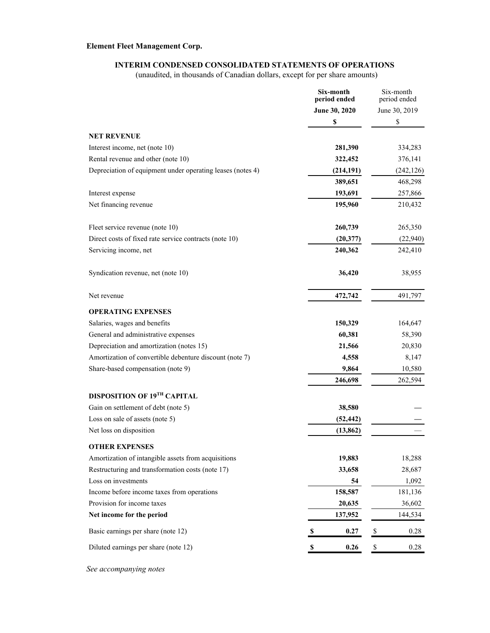### **INTERIM CONDENSED CONSOLIDATED STATEMENTS OF OPERATIONS**

(unaudited, in thousands of Canadian dollars, except for per share amounts)

|                                                            | Six-month<br>period ended | Six-month<br>period ended |
|------------------------------------------------------------|---------------------------|---------------------------|
|                                                            | June 30, 2020             | June 30, 2019             |
|                                                            | \$                        | \$                        |
| <b>NET REVENUE</b>                                         |                           |                           |
| Interest income, net (note 10)                             | 281,390                   | 334,283                   |
| Rental revenue and other (note 10)                         | 322,452                   | 376,141                   |
| Depreciation of equipment under operating leases (notes 4) | (214, 191)                | (242, 126)                |
|                                                            | 389,651                   | 468,298                   |
| Interest expense                                           | 193,691                   | 257,866                   |
| Net financing revenue                                      | 195,960                   | 210,432                   |
| Fleet service revenue (note 10)                            | 260,739                   | 265,350                   |
| Direct costs of fixed rate service contracts (note 10)     | (20,377)                  | (22,940)                  |
| Servicing income, net                                      | 240,362                   | 242,410                   |
| Syndication revenue, net (note 10)                         | 36,420                    | 38,955                    |
| Net revenue                                                | 472,742                   | 491,797                   |
| <b>OPERATING EXPENSES</b>                                  |                           |                           |
| Salaries, wages and benefits                               | 150,329                   | 164,647                   |
| General and administrative expenses                        | 60,381                    | 58,390                    |
| Depreciation and amortization (notes 15)                   | 21,566                    | 20,830                    |
| Amortization of convertible debenture discount (note 7)    | 4,558                     | 8,147                     |
| Share-based compensation (note 9)                          | 9,864                     | 10,580                    |
|                                                            | 246,698                   | 262,594                   |
| DISPOSITION OF 19TH CAPITAL                                |                           |                           |
| Gain on settlement of debt (note 5)                        | 38,580                    |                           |
| Loss on sale of assets (note 5)                            | (52, 442)                 |                           |
| Net loss on disposition                                    | (13, 862)                 |                           |
| <b>OTHER EXPENSES</b>                                      |                           |                           |
| Amortization of intangible assets from acquisitions        | 19,883                    | 18,288                    |
| Restructuring and transformation costs (note 17)           | 33,658                    | 28,687                    |
| Loss on investments                                        | 54                        | 1,092                     |
| Income before income taxes from operations                 | 158,587                   | 181,136                   |
| Provision for income taxes                                 | 20,635                    | 36,602                    |
| Net income for the period                                  | 137,952                   | 144,534                   |
| Basic earnings per share (note 12)                         | 0.27<br>-S                | \$<br>0.28                |
| Diluted earnings per share (note 12)                       | 0.26<br>S                 | $\$$<br>0.28              |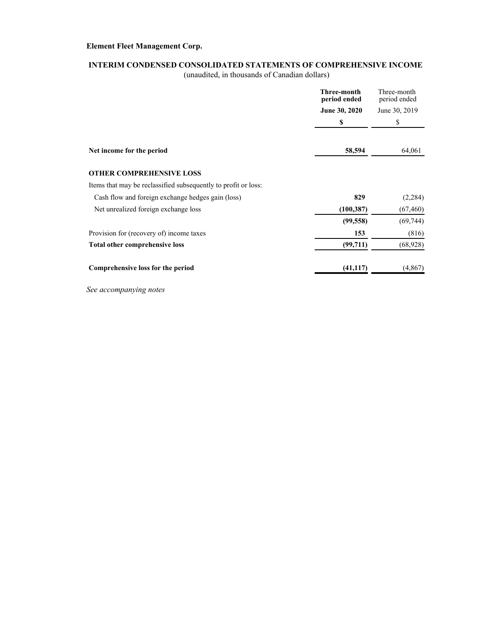## **INTERIM CONDENSED CONSOLIDATED STATEMENTS OF COMPREHENSIVE INCOME**

(unaudited, in thousands of Canadian dollars)

|                                                                | Three-month<br>period ended | Three-month<br>period ended |
|----------------------------------------------------------------|-----------------------------|-----------------------------|
|                                                                | <b>June 30, 2020</b>        | June 30, 2019               |
|                                                                | \$                          | \$                          |
| Net income for the period                                      | 58,594                      | 64,061                      |
| <b>OTHER COMPREHENSIVE LOSS</b>                                |                             |                             |
| Items that may be reclassified subsequently to profit or loss: |                             |                             |
| Cash flow and foreign exchange hedges gain (loss)              | 829                         | (2, 284)                    |
| Net unrealized foreign exchange loss                           | (100, 387)                  | (67, 460)                   |
|                                                                | (99, 558)                   | (69, 744)                   |
| Provision for (recovery of) income taxes                       | 153                         | (816)                       |
| <b>Total other comprehensive loss</b>                          | (99,711)                    | (68, 928)                   |
| Comprehensive loss for the period                              | (41, 117)                   | (4,867)                     |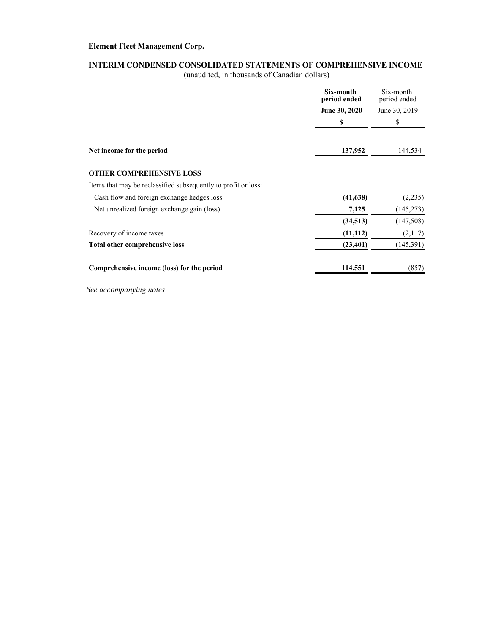## **INTERIM CONDENSED CONSOLIDATED STATEMENTS OF COMPREHENSIVE INCOME**

(unaudited, in thousands of Canadian dollars)

|                                                                | Six-month<br>period ended | Six-month<br>period ended |
|----------------------------------------------------------------|---------------------------|---------------------------|
|                                                                | <b>June 30, 2020</b>      | June 30, 2019             |
|                                                                | \$                        | \$                        |
| Net income for the period                                      | 137,952                   | 144,534                   |
|                                                                |                           |                           |
| <b>OTHER COMPREHENSIVE LOSS</b>                                |                           |                           |
| Items that may be reclassified subsequently to profit or loss: |                           |                           |
| Cash flow and foreign exchange hedges loss                     | (41, 638)                 | (2,235)                   |
| Net unrealized foreign exchange gain (loss)                    | 7,125                     | (145, 273)                |
|                                                                | (34, 513)                 | (147,508)                 |
| Recovery of income taxes                                       | (11, 112)                 | (2,117)                   |
| Total other comprehensive loss                                 | (23, 401)                 | (145,391)                 |
| Comprehensive income (loss) for the period                     | 114,551                   | (857)                     |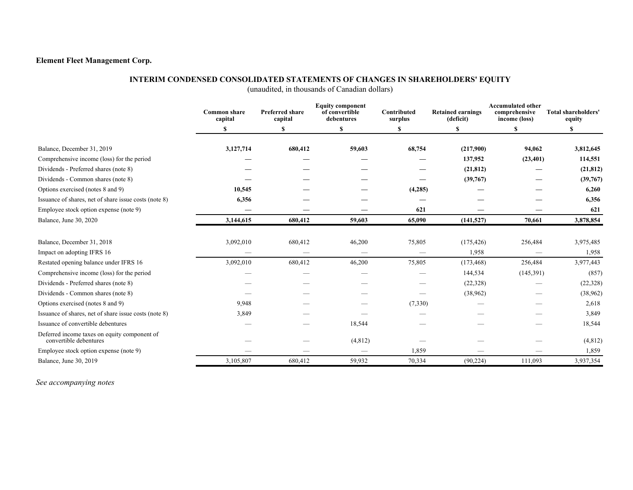### **INTERIM CONDENSED CONSOLIDATED STATEMENTS OF CHANGES IN SHAREHOLDERS' EQUITY**

(unaudited, in thousands of Canadian dollars)

|                                                                        | <b>Common share</b><br>capital | <b>Preferred share</b><br>capital | <b>Equity component</b><br>of convertible<br>debentures | Contributed<br>surplus | <b>Retained earnings</b><br>(deficit) | <b>Accumulated other</b><br>comprehensive<br>income (loss) | Total shareholders'<br>equity |
|------------------------------------------------------------------------|--------------------------------|-----------------------------------|---------------------------------------------------------|------------------------|---------------------------------------|------------------------------------------------------------|-------------------------------|
|                                                                        | S                              | \$                                | <sup>\$</sup>                                           |                        | \$                                    | \$                                                         | S                             |
| Balance, December 31, 2019                                             | 3,127,714                      | 680,412                           | 59,603                                                  | 68,754                 | (217,900)                             | 94,062                                                     | 3,812,645                     |
| Comprehensive income (loss) for the period                             |                                |                                   |                                                         |                        | 137,952                               | (23, 401)                                                  | 114,551                       |
| Dividends - Preferred shares (note 8)                                  |                                |                                   |                                                         |                        | (21, 812)                             |                                                            | (21, 812)                     |
| Dividends - Common shares (note 8)                                     |                                |                                   |                                                         |                        | (39,767)                              |                                                            | (39,767)                      |
| Options exercised (notes 8 and 9)                                      | 10,545                         |                                   |                                                         | (4,285)                |                                       |                                                            | 6,260                         |
| Issuance of shares, net of share issue costs (note 8)                  | 6,356                          |                                   |                                                         |                        |                                       |                                                            | 6,356                         |
| Employee stock option expense (note 9)                                 |                                |                                   |                                                         | 621                    |                                       |                                                            | 621                           |
| Balance, June 30, 2020                                                 | 3,144,615                      | 680,412                           | 59,603                                                  | 65,090                 | (141, 527)                            | 70,661                                                     | 3,878,854                     |
| Balance, December 31, 2018                                             | 3,092,010                      | 680,412                           | 46,200                                                  | 75,805                 | (175, 426)                            | 256,484                                                    | 3,975,485                     |
| Impact on adopting IFRS 16                                             |                                |                                   |                                                         |                        | 1,958                                 |                                                            | 1,958                         |
| Restated opening balance under IFRS 16                                 | 3,092,010                      | 680,412                           | 46,200                                                  | 75,805                 | (173, 468)                            | 256,484                                                    | 3,977,443                     |
| Comprehensive income (loss) for the period                             |                                |                                   |                                                         |                        | 144,534                               | (145,391)                                                  | (857)                         |
| Dividends - Preferred shares (note 8)                                  |                                |                                   |                                                         |                        | (22, 328)                             |                                                            | (22, 328)                     |
| Dividends - Common shares (note 8)                                     |                                |                                   |                                                         |                        | (38,962)                              |                                                            | (38,962)                      |
| Options exercised (notes 8 and 9)                                      | 9,948                          |                                   |                                                         | (7,330)                |                                       |                                                            | 2,618                         |
| Issuance of shares, net of share issue costs (note 8)                  | 3,849                          |                                   |                                                         |                        |                                       |                                                            | 3,849                         |
| Issuance of convertible debentures                                     |                                |                                   | 18,544                                                  |                        |                                       |                                                            | 18,544                        |
| Deferred income taxes on equity component of<br>convertible debentures |                                |                                   | (4, 812)                                                |                        |                                       |                                                            | (4,812)                       |
| Employee stock option expense (note 9)                                 |                                |                                   |                                                         | 1,859                  |                                       |                                                            | 1,859                         |
| Balance, June 30, 2019                                                 | 3,105,807                      | 680,412                           | 59,932                                                  | 70,334                 | (90, 224)                             | 111,093                                                    | 3,937,354                     |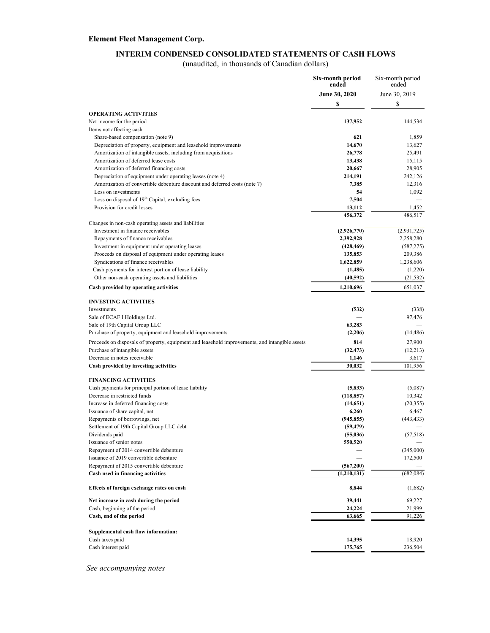#### **INTERIM CONDENSED CONSOLIDATED STATEMENTS OF CASH FLOWS**

(unaudited, in thousands of Canadian dollars)

|                                                                                                            | Six-month period<br>ended | Six-month period<br>ended |
|------------------------------------------------------------------------------------------------------------|---------------------------|---------------------------|
|                                                                                                            | June 30, 2020             | June 30, 2019             |
|                                                                                                            | \$                        | \$                        |
| <b>OPERATING ACTIVITIES</b>                                                                                |                           |                           |
| Net income for the period                                                                                  | 137,952                   | 144,534                   |
| Items not affecting cash                                                                                   |                           |                           |
| Share-based compensation (note 9)                                                                          | 621                       | 1,859                     |
| Depreciation of property, equipment and leasehold improvements                                             | 14,670                    | 13,627                    |
| Amortization of intangible assets, including from acquisitions                                             | 26,778                    | 25,491                    |
| Amortization of deferred lease costs                                                                       | 13,438                    | 15,115                    |
| Amortization of deferred financing costs                                                                   | 20,667                    | 28,905                    |
| Depreciation of equipment under operating leases (note 4)                                                  | 214,191                   | 242,126                   |
| Amortization of convertible debenture discount and deferred costs (note 7)                                 | 7,385                     | 12,316                    |
| Loss on investments                                                                                        | 54                        | 1,092                     |
| Loss on disposal of 19 <sup>th</sup> Capital, excluding fees                                               | 7,504                     |                           |
| Provision for credit losses                                                                                | 13,112                    | 1,452                     |
|                                                                                                            | 456,372                   | 486,517                   |
| Changes in non-cash operating assets and liabilities                                                       |                           |                           |
| Investment in finance receivables                                                                          | (2,926,770)               | (2,931,725)               |
| Repayments of finance receivables                                                                          | 2,392,928                 | 2,258,280                 |
| Investment in equipment under operating leases<br>Proceeds on disposal of equipment under operating leases | (428, 469)                | (587, 275)                |
| Syndications of finance receivables                                                                        | 135,853<br>1,622,859      | 209,386<br>1,238,606      |
| Cash payments for interest portion of lease liability                                                      | (1, 485)                  | (1,220)                   |
| Other non-cash operating assets and liabilities                                                            | (40, 592)                 | (21, 532)                 |
| Cash provided by operating activities                                                                      | 1,210,696                 | 651,037                   |
|                                                                                                            |                           |                           |
| <b>INVESTING ACTIVITIES</b>                                                                                |                           |                           |
| Investments                                                                                                | (532)                     | (338)                     |
| Sale of ECAF I Holdings Ltd.                                                                               |                           | 97,476                    |
| Sale of 19th Capital Group LLC                                                                             | 63,283                    |                           |
| Purchase of property, equipment and leasehold improvements                                                 | (2,206)                   | (14, 486)                 |
| Proceeds on disposals of property, equipment and leasehold improvements, and intangible assets             | 814                       | 27,900                    |
| Purchase of intangible assets                                                                              | (32, 473)                 | (12,213)                  |
| Decrease in notes receivable                                                                               | 1,146                     | 3,617                     |
| Cash provided by investing activities                                                                      | 30,032                    | 101,956                   |
|                                                                                                            |                           |                           |
| <b>FINANCING ACTIVITIES</b>                                                                                |                           |                           |
| Cash payments for principal portion of lease liability                                                     | (5, 833)                  | (5,087)                   |
| Decrease in restricted funds                                                                               | (118, 857)                | 10,342                    |
| Increase in deferred financing costs<br>Issuance of share capital, net                                     | (14, 651)                 | (20, 355)                 |
| Repayments of borrowings, net                                                                              | 6,260<br>(945, 855)       | 6,467<br>(443, 433)       |
| Settlement of 19th Capital Group LLC debt                                                                  | (59, 479)                 |                           |
| Dividends paid                                                                                             | (55,036)                  | (57, 518)                 |
| Issuance of senior notes                                                                                   | 550,520                   |                           |
| Repayment of 2014 convertible debenture                                                                    |                           | (345,000)                 |
| Issuance of 2019 convertible debenture                                                                     |                           | 172,500                   |
| Repayment of 2015 convertible debenture                                                                    | (567,200)                 |                           |
| Cash used in financing activities                                                                          | (1,210,131)               | (682, 084)                |
|                                                                                                            |                           |                           |
| Effects of foreign exchange rates on cash                                                                  | 8,844                     | (1,682)                   |
| Net increase in cash during the period                                                                     | 39,441                    | 69,227                    |
| Cash, beginning of the period                                                                              | 24,224                    | 21,999                    |
| Cash, end of the period                                                                                    | 63,665                    | 91,226                    |
|                                                                                                            |                           |                           |
| Supplemental cash flow information:                                                                        |                           |                           |
| Cash taxes paid                                                                                            | 14,395                    | 18,920                    |
| Cash interest paid                                                                                         | 175,765                   | 236,504                   |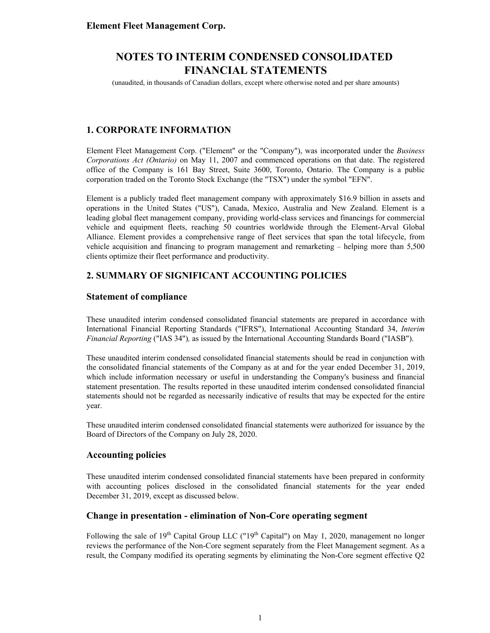(unaudited, in thousands of Canadian dollars, except where otherwise noted and per share amounts)

## **1. CORPORATE INFORMATION**

Element Fleet Management Corp. ("Element" or the "Company"), was incorporated under the *Business Corporations Act (Ontario)* on May 11, 2007 and commenced operations on that date. The registered office of the Company is 161 Bay Street, Suite 3600, Toronto, Ontario. The Company is a public corporation traded on the Toronto Stock Exchange (the "TSX") under the symbol "EFN".

Element is a publicly traded fleet management company with approximately \$16.9 billion in assets and operations in the United States ("US"), Canada, Mexico, Australia and New Zealand. Element is a leading global fleet management company, providing world-class services and financings for commercial vehicle and equipment fleets, reaching 50 countries worldwide through the Element-Arval Global Alliance. Element provides a comprehensive range of fleet services that span the total lifecycle, from vehicle acquisition and financing to program management and remarketing – helping more than 5,500 clients optimize their fleet performance and productivity.

## **2. SUMMARY OF SIGNIFICANT ACCOUNTING POLICIES**

### **Statement of compliance**

These unaudited interim condensed consolidated financial statements are prepared in accordance with International Financial Reporting Standards ("IFRS"), International Accounting Standard 34, *Interim Financial Reporting* ("IAS 34")*,* as issued by the International Accounting Standards Board ("IASB").

These unaudited interim condensed consolidated financial statements should be read in conjunction with the consolidated financial statements of the Company as at and for the year ended December 31, 2019, which include information necessary or useful in understanding the Company's business and financial statement presentation. The results reported in these unaudited interim condensed consolidated financial statements should not be regarded as necessarily indicative of results that may be expected for the entire year.

These unaudited interim condensed consolidated financial statements were authorized for issuance by the Board of Directors of the Company on July 28, 2020.

### **Accounting policies**

These unaudited interim condensed consolidated financial statements have been prepared in conformity with accounting polices disclosed in the consolidated financial statements for the year ended December 31, 2019, except as discussed below.

### **Change in presentation - elimination of Non-Core operating segment**

Following the sale of  $19<sup>th</sup>$  Capital Group LLC (" $19<sup>th</sup>$  Capital") on May 1, 2020, management no longer reviews the performance of the Non-Core segment separately from the Fleet Management segment. As a result, the Company modified its operating segments by eliminating the Non-Core segment effective Q2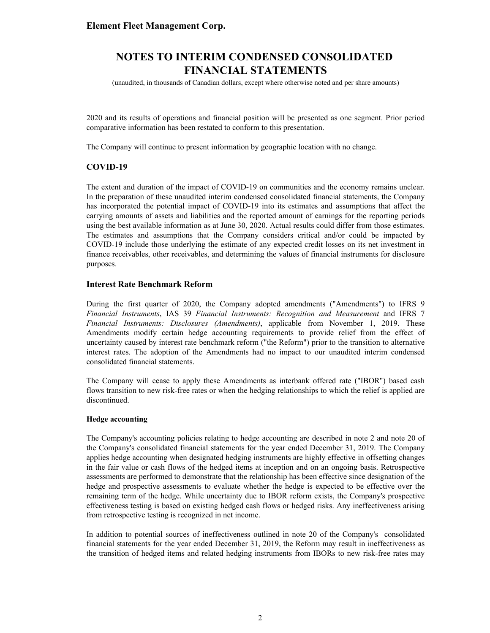(unaudited, in thousands of Canadian dollars, except where otherwise noted and per share amounts)

2020 and its results of operations and financial position will be presented as one segment. Prior period comparative information has been restated to conform to this presentation.

The Company will continue to present information by geographic location with no change.

### **COVID-19**

The extent and duration of the impact of COVID-19 on communities and the economy remains unclear. In the preparation of these unaudited interim condensed consolidated financial statements, the Company has incorporated the potential impact of COVID-19 into its estimates and assumptions that affect the carrying amounts of assets and liabilities and the reported amount of earnings for the reporting periods using the best available information as at June 30, 2020. Actual results could differ from those estimates. The estimates and assumptions that the Company considers critical and/or could be impacted by COVID-19 include those underlying the estimate of any expected credit losses on its net investment in finance receivables, other receivables, and determining the values of financial instruments for disclosure purposes.

#### **Interest Rate Benchmark Reform**

During the first quarter of 2020, the Company adopted amendments ("Amendments") to IFRS 9 *Financial Instruments*, IAS 39 *Financial Instruments: Recognition and Measurement* and IFRS 7 *Financial Instruments: Disclosures (Amendments)*, applicable from November 1, 2019. These Amendments modify certain hedge accounting requirements to provide relief from the effect of uncertainty caused by interest rate benchmark reform ("the Reform") prior to the transition to alternative interest rates. The adoption of the Amendments had no impact to our unaudited interim condensed consolidated financial statements.

The Company will cease to apply these Amendments as interbank offered rate ("IBOR") based cash flows transition to new risk-free rates or when the hedging relationships to which the relief is applied are discontinued.

#### **Hedge accounting**

The Company's accounting policies relating to hedge accounting are described in note 2 and note 20 of the Company's consolidated financial statements for the year ended December 31, 2019. The Company applies hedge accounting when designated hedging instruments are highly effective in offsetting changes in the fair value or cash flows of the hedged items at inception and on an ongoing basis. Retrospective assessments are performed to demonstrate that the relationship has been effective since designation of the hedge and prospective assessments to evaluate whether the hedge is expected to be effective over the remaining term of the hedge. While uncertainty due to IBOR reform exists, the Company's prospective effectiveness testing is based on existing hedged cash flows or hedged risks. Any ineffectiveness arising from retrospective testing is recognized in net income.

In addition to potential sources of ineffectiveness outlined in note 20 of the Company's consolidated financial statements for the year ended December 31, 2019, the Reform may result in ineffectiveness as the transition of hedged items and related hedging instruments from IBORs to new risk-free rates may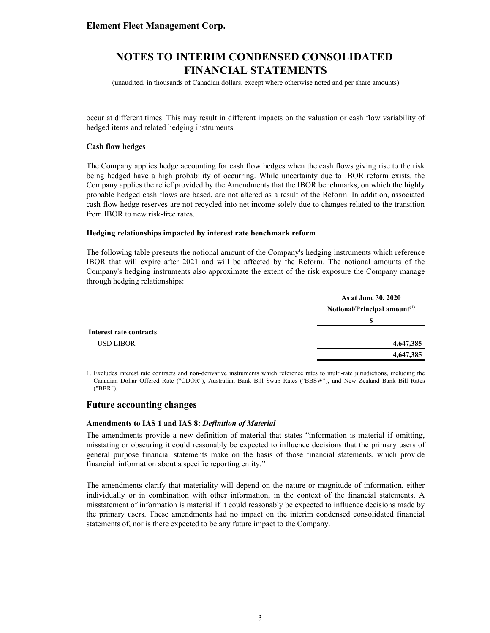## **NOTES TO INTERIM CONDENSED CONSOLIDATED FINANCIAL STATEMENTS**

(unaudited, in thousands of Canadian dollars, except where otherwise noted and per share amounts)

occur at different times. This may result in different impacts on the valuation or cash flow variability of hedged items and related hedging instruments.

#### **Cash flow hedges**

The Company applies hedge accounting for cash flow hedges when the cash flows giving rise to the risk being hedged have a high probability of occurring. While uncertainty due to IBOR reform exists, the Company applies the relief provided by the Amendments that the IBOR benchmarks, on which the highly probable hedged cash flows are based, are not altered as a result of the Reform. In addition, associated cash flow hedge reserves are not recycled into net income solely due to changes related to the transition from IBOR to new risk-free rates.

#### **Hedging relationships impacted by interest rate benchmark reform**

The following table presents the notional amount of the Company's hedging instruments which reference IBOR that will expire after 2021 and will be affected by the Reform. The notional amounts of the Company's hedging instruments also approximate the extent of the risk exposure the Company manage through hedging relationships:

|                         | As at June 30, 2020                      |
|-------------------------|------------------------------------------|
|                         | Notional/Principal amount <sup>(1)</sup> |
|                         | S                                        |
| Interest rate contracts |                                          |
| <b>USD LIBOR</b>        | 4,647,385                                |
|                         | 4,647,385                                |

1. Excludes interest rate contracts and non-derivative instruments which reference rates to multi-rate jurisdictions, including the Canadian Dollar Offered Rate ("CDOR"), Australian Bank Bill Swap Rates ("BBSW"), and New Zealand Bank Bill Rates ("BBR").

#### **Future accounting changes**

#### **Amendments to IAS 1 and IAS 8:** *Definition of Material*

The amendments provide a new definition of material that states "information is material if omitting, misstating or obscuring it could reasonably be expected to influence decisions that the primary users of general purpose financial statements make on the basis of those financial statements, which provide financial information about a specific reporting entity."

The amendments clarify that materiality will depend on the nature or magnitude of information, either individually or in combination with other information, in the context of the financial statements. A misstatement of information is material if it could reasonably be expected to influence decisions made by the primary users. These amendments had no impact on the interim condensed consolidated financial statements of, nor is there expected to be any future impact to the Company.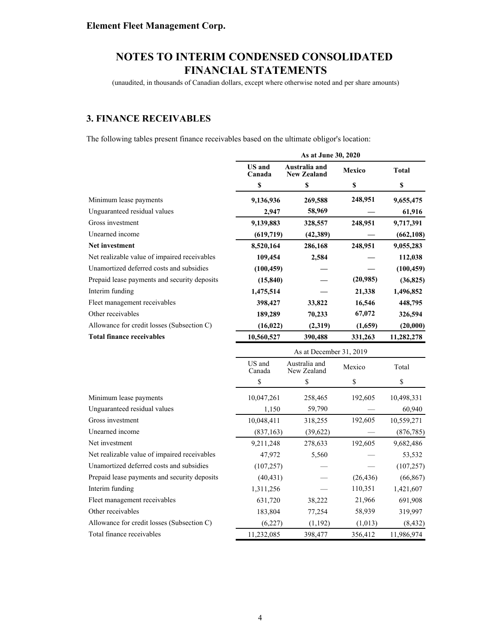(unaudited, in thousands of Canadian dollars, except where otherwise noted and per share amounts)

## **3. FINANCE RECEIVABLES**

The following tables present finance receivables based on the ultimate obligor's location:

|                                              | As at June 30, 2020     |                                     |           |              |  |
|----------------------------------------------|-------------------------|-------------------------------------|-----------|--------------|--|
|                                              | <b>US</b> and<br>Canada | Australia and<br><b>New Zealand</b> | Mexico    | <b>Total</b> |  |
|                                              | \$                      | $\mathbb S$                         | \$        | \$           |  |
| Minimum lease payments                       | 9,136,936               | 269,588                             | 248,951   | 9,655,475    |  |
| Unguaranteed residual values                 | 2,947                   | 58,969                              |           | 61,916       |  |
| Gross investment                             | 9,139,883               | 328,557                             | 248,951   | 9,717,391    |  |
| Unearned income                              | (619, 719)              | (42, 389)                           |           | (662, 108)   |  |
| <b>Net investment</b>                        | 8,520,164               | 286,168                             | 248,951   | 9,055,283    |  |
| Net realizable value of impaired receivables | 109,454                 | 2,584                               |           | 112,038      |  |
| Unamortized deferred costs and subsidies     | (100, 459)              |                                     |           | (100, 459)   |  |
| Prepaid lease payments and security deposits | (15, 840)               |                                     | (20,985)  | (36, 825)    |  |
| Interim funding                              | 1,475,514               |                                     | 21,338    | 1,496,852    |  |
| Fleet management receivables                 | 398,427                 | 33,822                              | 16,546    | 448,795      |  |
| Other receivables                            | 189,289                 | 70,233                              | 67,072    | 326,594      |  |
| Allowance for credit losses (Subsection C)   | (16, 022)               | (2,319)                             | (1,659)   | (20,000)     |  |
| <b>Total finance receivables</b>             | 10,560,527              | 390,488                             | 331,263   | 11,282,278   |  |
|                                              | As at December 31, 2019 |                                     |           |              |  |
|                                              | US and<br>Canada        | Australia and<br>New Zealand        | Mexico    | Total        |  |
|                                              | \$                      | \$                                  | \$        | \$           |  |
| Minimum lease payments                       | 10,047,261              | 258,465                             | 192,605   | 10,498,331   |  |
| Unguaranteed residual values                 | 1,150                   | 59,790                              |           | 60,940       |  |
| Gross investment                             | 10,048,411              | 318,255                             | 192,605   | 10,559,271   |  |
| Unearned income                              | (837, 163)              | (39,622)                            |           | (876, 785)   |  |
| Net investment                               | 9,211,248               | 278,633                             | 192,605   | 9,682,486    |  |
| Net realizable value of impaired receivables | 47,972                  | 5,560                               |           | 53,532       |  |
| Unamortized deferred costs and subsidies     | (107, 257)              |                                     |           | (107, 257)   |  |
| Prepaid lease payments and security deposits | (40, 431)               |                                     | (26, 436) | (66, 867)    |  |
| Interim funding                              | 1,311,256               |                                     | 110,351   | 1,421,607    |  |
| Fleet management receivables                 | 631,720                 | 38,222                              | 21,966    | 691,908      |  |
| Other receivables                            | 183,804                 | 77,254                              | 58,939    | 319,997      |  |
| Allowance for credit losses (Subsection C)   | (6,227)                 | (1, 192)                            | (1,013)   | (8, 432)     |  |
| Total finance receivables                    | 11,232,085              | 398,477                             | 356,412   | 11,986,974   |  |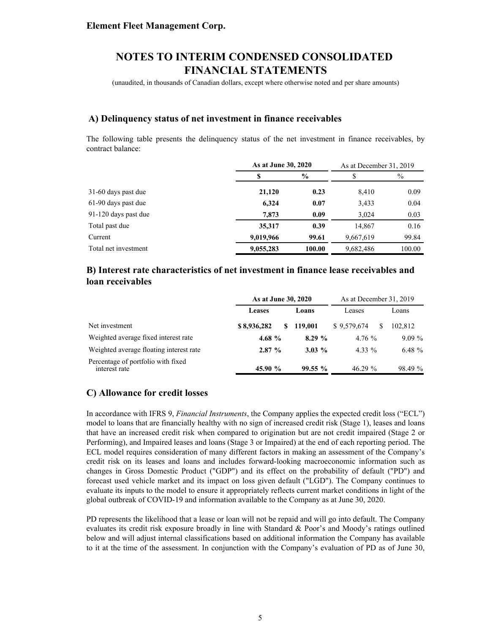(unaudited, in thousands of Canadian dollars, except where otherwise noted and per share amounts)

### **A) Delinquency status of net investment in finance receivables**

The following table presents the delinquency status of the net investment in finance receivables, by contract balance:

|                      | As at June 30, 2020 |               | As at December 31, 2019 |        |
|----------------------|---------------------|---------------|-------------------------|--------|
|                      | S                   | $\frac{0}{0}$ |                         | $\%$   |
| 31-60 days past due  | 21,120              | 0.23          | 8,410                   | 0.09   |
| 61-90 days past due  | 6,324               | 0.07          | 3,433                   | 0.04   |
| 91-120 days past due | 7,873               | 0.09          | 3.024                   | 0.03   |
| Total past due       | 35,317              | 0.39          | 14,867                  | 0.16   |
| Current              | 9,019,966           | 99.61         | 9,667,619               | 99.84  |
| Total net investment | 9,055,283           | 100.00        | 9,682,486               | 100.00 |

## **B) Interest rate characteristics of net investment in finance lease receivables and loan receivables**

|                                                     | As at June 30, 2020 |           | As at December 31, 2019 |          |
|-----------------------------------------------------|---------------------|-----------|-------------------------|----------|
|                                                     | Leases              | Loans     | Leases                  | Loans    |
| Net investment                                      | \$8,936,282<br>SS.  | 119,001   | \$9.579.674<br>S        | 102.812  |
| Weighted average fixed interest rate                | 4.68 $%$            | $8.29 \%$ | 4.76%                   | $9.09\%$ |
| Weighted average floating interest rate             | $2.87 \%$           | $3.03\%$  | 4.33 %                  | 6.48 $%$ |
| Percentage of portfolio with fixed<br>interest rate | 45.90 %             | $99.55\%$ | $46.29\%$               | 98.49 %  |

### **C) Allowance for credit losses**

In accordance with IFRS 9, *Financial Instruments*, the Company applies the expected credit loss ("ECL") model to loans that are financially healthy with no sign of increased credit risk (Stage 1), leases and loans that have an increased credit risk when compared to origination but are not credit impaired (Stage 2 or Performing), and Impaired leases and loans (Stage 3 or Impaired) at the end of each reporting period. The ECL model requires consideration of many different factors in making an assessment of the Company's credit risk on its leases and loans and includes forward-looking macroeconomic information such as changes in Gross Domestic Product ("GDP") and its effect on the probability of default ("PD") and forecast used vehicle market and its impact on loss given default ("LGD"). The Company continues to evaluate its inputs to the model to ensure it appropriately reflects current market conditions in light of the global outbreak of COVID-19 and information available to the Company as at June 30, 2020.

PD represents the likelihood that a lease or loan will not be repaid and will go into default. The Company evaluates its credit risk exposure broadly in line with Standard & Poor's and Moody's ratings outlined below and will adjust internal classifications based on additional information the Company has available to it at the time of the assessment. In conjunction with the Company's evaluation of PD as of June 30,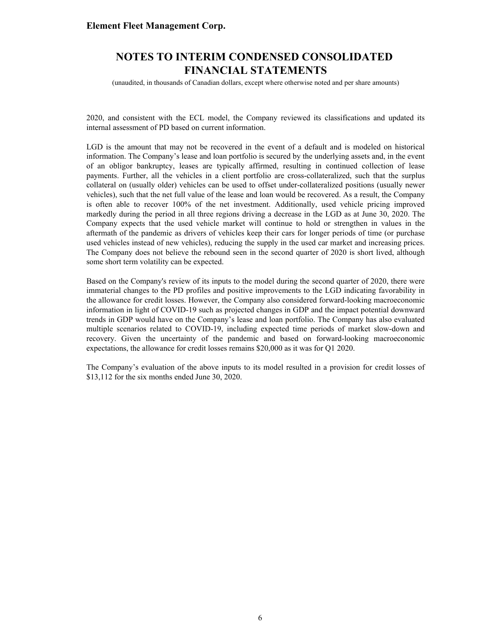## **NOTES TO INTERIM CONDENSED CONSOLIDATED FINANCIAL STATEMENTS**

(unaudited, in thousands of Canadian dollars, except where otherwise noted and per share amounts)

2020, and consistent with the ECL model, the Company reviewed its classifications and updated its internal assessment of PD based on current information.

LGD is the amount that may not be recovered in the event of a default and is modeled on historical information. The Company's lease and loan portfolio is secured by the underlying assets and, in the event of an obligor bankruptcy, leases are typically affirmed, resulting in continued collection of lease payments. Further, all the vehicles in a client portfolio are cross-collateralized, such that the surplus collateral on (usually older) vehicles can be used to offset under-collateralized positions (usually newer vehicles), such that the net full value of the lease and loan would be recovered. As a result, the Company is often able to recover 100% of the net investment. Additionally, used vehicle pricing improved markedly during the period in all three regions driving a decrease in the LGD as at June 30, 2020. The Company expects that the used vehicle market will continue to hold or strengthen in values in the aftermath of the pandemic as drivers of vehicles keep their cars for longer periods of time (or purchase used vehicles instead of new vehicles), reducing the supply in the used car market and increasing prices. The Company does not believe the rebound seen in the second quarter of 2020 is short lived, although some short term volatility can be expected.

Based on the Company's review of its inputs to the model during the second quarter of 2020, there were immaterial changes to the PD profiles and positive improvements to the LGD indicating favorability in the allowance for credit losses. However, the Company also considered forward-looking macroeconomic information in light of COVID-19 such as projected changes in GDP and the impact potential downward trends in GDP would have on the Company's lease and loan portfolio. The Company has also evaluated multiple scenarios related to COVID-19, including expected time periods of market slow-down and recovery. Given the uncertainty of the pandemic and based on forward-looking macroeconomic expectations, the allowance for credit losses remains \$20,000 as it was for Q1 2020.

The Company's evaluation of the above inputs to its model resulted in a provision for credit losses of \$13,112 for the six months ended June 30, 2020.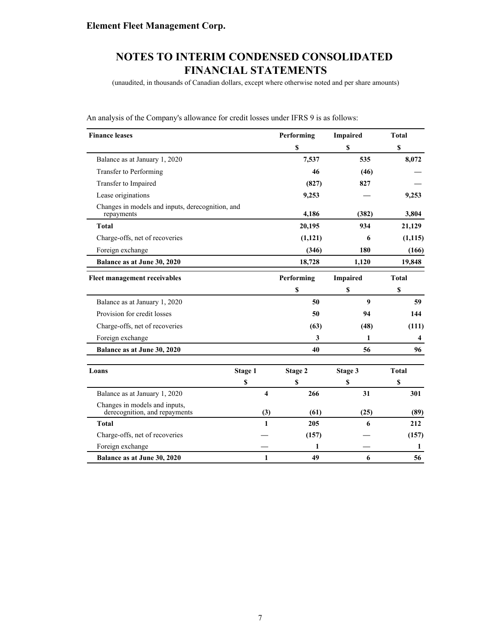(unaudited, in thousands of Canadian dollars, except where otherwise noted and per share amounts)

| <b>Finance leases</b>                                          |         |     | Performing  | Impaired        | <b>Total</b> |
|----------------------------------------------------------------|---------|-----|-------------|-----------------|--------------|
|                                                                |         |     | \$          | \$              | S            |
| Balance as at January 1, 2020                                  |         |     | 7,537       | 535             | 8,072        |
| Transfer to Performing                                         |         |     | 46          | (46)            |              |
| Transfer to Impaired                                           |         |     | (827)       | 827             |              |
| Lease originations                                             |         |     | 9,253       |                 | 9,253        |
| Changes in models and inputs, derecognition, and<br>repayments |         |     | 4,186       | (382)           | 3,804        |
| <b>Total</b>                                                   |         |     | 20,195      | 934             | 21,129       |
| Charge-offs, net of recoveries                                 |         |     | (1, 121)    | 6               | (1, 115)     |
| Foreign exchange                                               |         |     | (346)       | 180             | (166)        |
| Balance as at June 30, 2020                                    |         |     | 18,728      | 1,120           | 19,848       |
| Fleet management receivables                                   |         |     | Performing  | <b>Impaired</b> | <b>Total</b> |
|                                                                |         |     | $\mathbb S$ | \$              | \$           |
| Balance as at January 1, 2020                                  |         |     | 50          | 9               | 59           |
| Provision for credit losses                                    |         |     | 50          | 94              | 144          |
| Charge-offs, net of recoveries                                 |         |     | (63)        | (48)            | (111)        |
| Foreign exchange                                               |         |     | 3           | 1               | 4            |
| Balance as at June 30, 2020                                    |         |     | 40          | 56              | 96           |
| Loans                                                          | Stage 1 |     | Stage 2     | Stage 3         | <b>Total</b> |
|                                                                | \$      |     | \$          | \$              | S            |
| Balance as at January 1, 2020                                  |         | 4   | 266         | 31              | 301          |
| Changes in models and inputs,<br>derecognition, and repayments |         | (3) | (61)        | (25)            | (89)         |
| <b>Total</b>                                                   |         | 1   | 205         | 6               | 212          |
| Charge-offs, net of recoveries                                 |         |     | (157)       |                 | (157)        |
| Foreign exchange                                               |         |     | 1           |                 | 1            |
| Balance as at June 30, 2020                                    |         | 1   | 49          | 6               | 56           |

An analysis of the Company's allowance for credit losses under IFRS 9 is as follows: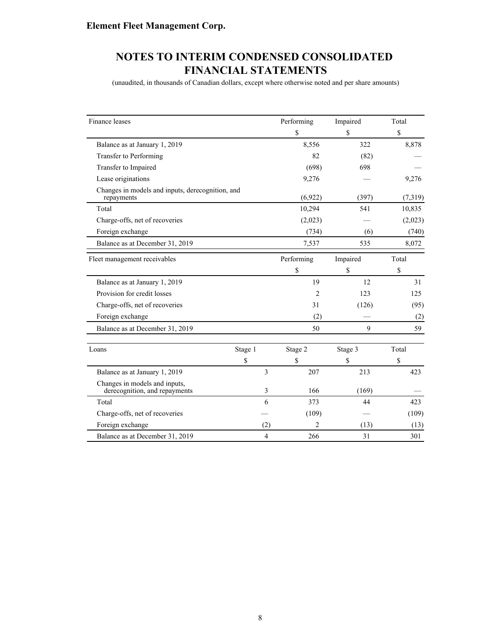(unaudited, in thousands of Canadian dollars, except where otherwise noted and per share amounts)

| Finance leases                                                 |         |                | Performing | Impaired | Total   |
|----------------------------------------------------------------|---------|----------------|------------|----------|---------|
|                                                                |         |                | \$         | \$       | \$      |
| Balance as at January 1, 2019                                  |         |                | 8,556      | 322      | 8,878   |
| Transfer to Performing                                         |         |                | 82         | (82)     |         |
| Transfer to Impaired                                           |         |                | (698)      | 698      |         |
| Lease originations                                             |         |                | 9,276      |          | 9,276   |
| Changes in models and inputs, derecognition, and<br>repayments |         |                | (6,922)    | (397)    | (7,319) |
| Total                                                          |         |                | 10,294     | 541      | 10,835  |
| Charge-offs, net of recoveries                                 |         |                | (2,023)    |          | (2,023) |
| Foreign exchange                                               |         |                | (734)      | (6)      | (740)   |
| Balance as at December 31, 2019                                |         |                | 7,537      | 535      | 8,072   |
| Fleet management receivables                                   |         |                | Performing | Impaired | Total   |
|                                                                |         |                | \$         | \$       | \$      |
| Balance as at January 1, 2019                                  |         |                | 19         | 12       | 31      |
| Provision for credit losses                                    |         |                | 2          | 123      | 125     |
| Charge-offs, net of recoveries                                 |         |                | 31         | (126)    | (95)    |
| Foreign exchange                                               |         |                | (2)        |          | (2)     |
| Balance as at December 31, 2019                                |         |                | 50         | 9        | 59      |
| Loans                                                          | Stage 1 |                | Stage 2    | Stage 3  | Total   |
|                                                                | \$      |                | \$         | \$       | \$      |
| Balance as at January 1, 2019                                  |         | 3              | 207        | 213      | 423     |
| Changes in models and inputs,<br>derecognition, and repayments |         | 3              | 166        | (169)    |         |
| Total                                                          |         | 6              | 373        | 44       | 423     |
| Charge-offs, net of recoveries                                 |         |                | (109)      |          | (109)   |
| Foreign exchange                                               |         | (2)            | 2          | (13)     | (13)    |
| Balance as at December 31, 2019                                |         | $\overline{4}$ | 266        | 31       | 301     |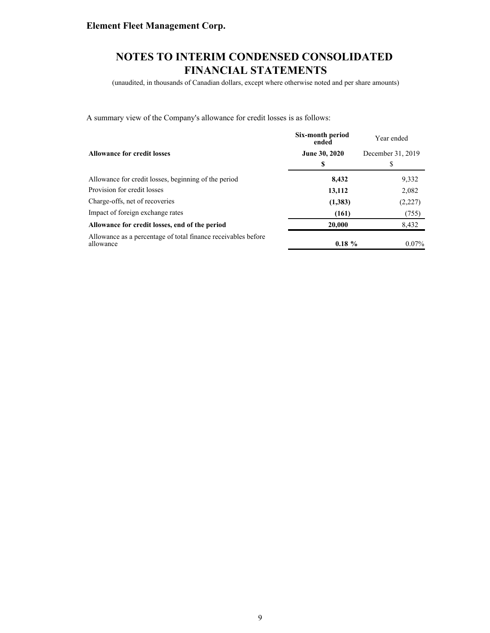## **NOTES TO INTERIM CONDENSED CONSOLIDATED FINANCIAL STATEMENTS**

(unaudited, in thousands of Canadian dollars, except where otherwise noted and per share amounts)

A summary view of the Company's allowance for credit losses is as follows:

|                                                                            | Six-month period<br>ended | Year ended        |
|----------------------------------------------------------------------------|---------------------------|-------------------|
| <b>Allowance for credit losses</b>                                         | June 30, 2020             | December 31, 2019 |
|                                                                            | \$                        | S                 |
| Allowance for credit losses, beginning of the period                       | 8,432                     | 9,332             |
| Provision for credit losses                                                | 13,112                    | 2,082             |
| Charge-offs, net of recoveries                                             | (1,383)                   | (2,227)           |
| Impact of foreign exchange rates                                           | (161)                     | (755)             |
| Allowance for credit losses, end of the period                             | 20,000                    | 8,432             |
| Allowance as a percentage of total finance receivables before<br>allowance | $0.18 \%$                 | $0.07\%$          |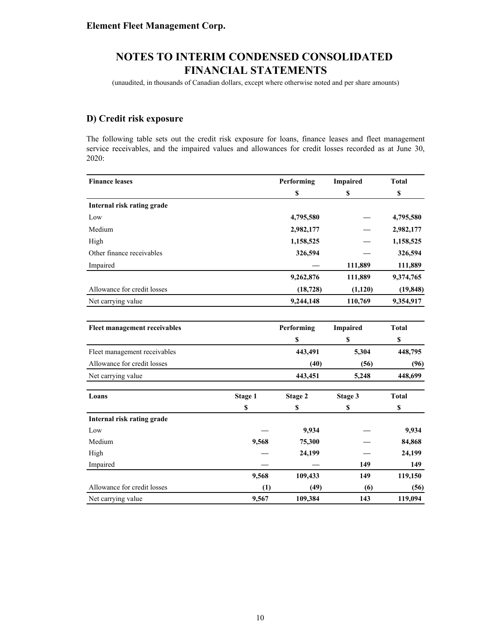(unaudited, in thousands of Canadian dollars, except where otherwise noted and per share amounts)

## **D) Credit risk exposure**

The following table sets out the credit risk exposure for loans, finance leases and fleet management service receivables, and the impaired values and allowances for credit losses recorded as at June 30, 2020:

| <b>Finance leases</b>        |         | Performing | <b>Impaired</b> | <b>Total</b> |
|------------------------------|---------|------------|-----------------|--------------|
|                              |         | \$         | \$              | \$           |
| Internal risk rating grade   |         |            |                 |              |
| Low                          |         | 4,795,580  |                 | 4,795,580    |
| Medium                       |         | 2,982,177  |                 | 2,982,177    |
| High                         |         | 1,158,525  |                 | 1,158,525    |
| Other finance receivables    |         | 326,594    |                 | 326,594      |
| Impaired                     |         |            | 111,889         | 111,889      |
|                              |         | 9,262,876  | 111,889         | 9,374,765    |
| Allowance for credit losses  |         | (18, 728)  | (1,120)         | (19, 848)    |
| Net carrying value           |         | 9,244,148  | 110,769         | 9,354,917    |
|                              |         |            |                 |              |
| Fleet management receivables |         | Performing | <b>Impaired</b> | <b>Total</b> |
|                              |         | \$         | \$              | \$           |
| Fleet management receivables |         | 443,491    | 5,304           | 448,795      |
| Allowance for credit losses  |         | (40)       | (56)            | (96)         |
| Net carrying value           |         | 443,451    | 5,248           | 448,699      |
| Loans                        | Stage 1 | Stage 2    | Stage 3         | <b>Total</b> |
|                              | \$      | \$         | \$              | \$           |
| Internal risk rating grade   |         |            |                 |              |
| Low                          |         | 9,934      |                 | 9,934        |
| Medium                       | 9,568   | 75,300     |                 | 84,868       |
| High                         |         | 24,199     |                 | 24,199       |
| Impaired                     |         |            | 149             | 149          |
|                              | 9,568   | 109,433    | 149             | 119,150      |
| Allowance for credit losses  | (1)     | (49)       | (6)             | (56)         |
| Net carrying value           | 9,567   | 109,384    | 143             | 119,094      |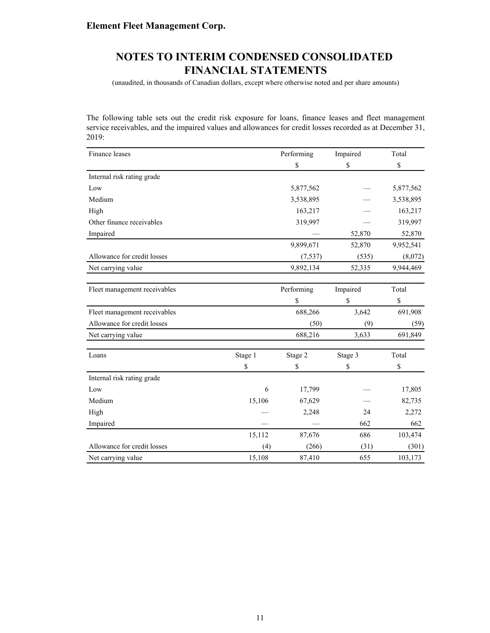(unaudited, in thousands of Canadian dollars, except where otherwise noted and per share amounts)

The following table sets out the credit risk exposure for loans, finance leases and fleet management service receivables, and the impaired values and allowances for credit losses recorded as at December 31, 2019:

| Finance leases               |         | Performing | Impaired | Total     |
|------------------------------|---------|------------|----------|-----------|
|                              |         | \$         | \$       | \$        |
| Internal risk rating grade   |         |            |          |           |
| Low                          |         | 5,877,562  |          | 5,877,562 |
| Medium                       |         | 3,538,895  |          | 3,538,895 |
| High                         |         | 163,217    |          | 163,217   |
| Other finance receivables    |         | 319,997    |          | 319,997   |
| Impaired                     |         |            | 52,870   | 52,870    |
|                              |         | 9,899,671  | 52,870   | 9,952,541 |
| Allowance for credit losses  |         | (7, 537)   | (535)    | (8,072)   |
| Net carrying value           |         | 9,892,134  | 52,335   | 9,944,469 |
|                              |         |            |          |           |
| Fleet management receivables |         | Performing | Impaired | Total     |
|                              |         | \$         | \$       | \$        |
| Fleet management receivables |         | 688,266    | 3,642    | 691,908   |
| Allowance for credit losses  |         | (50)       | (9)      | (59)      |
| Net carrying value           |         | 688,216    | 3,633    | 691,849   |
| Loans                        | Stage 1 | Stage 2    | Stage 3  | Total     |
|                              | \$      | \$         | \$       | \$        |
| Internal risk rating grade   |         |            |          |           |
| Low                          | 6       | 17,799     |          | 17,805    |
| Medium                       | 15,106  | 67,629     |          | 82,735    |
| High                         |         | 2,248      | 24       | 2,272     |
| Impaired                     |         |            | 662      | 662       |
|                              | 15,112  | 87,676     | 686      | 103,474   |
| Allowance for credit losses  | (4)     | (266)      | (31)     | (301)     |
| Net carrying value           | 15,108  | 87,410     | 655      | 103,173   |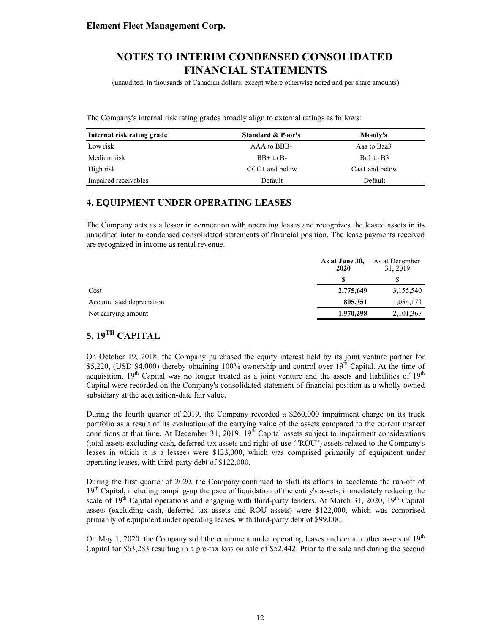(unaudited, in thousands of Canadian dollars, except where otherwise noted and per share amounts)

The Company's internal risk rating grades broadly align to external ratings as follows:

| Internal risk rating grade | <b>Standard &amp; Poor's</b> | Moody's        |
|----------------------------|------------------------------|----------------|
| Low risk                   | AAA to BBB-                  | Aaa to Baa3    |
| Medium risk                | $BB+$ to $B-$                | Bal to B3      |
| High risk                  | $CCC+$ and below             | Caa1 and below |
| Impaired receivables       | Default                      | Default        |

### **4. EQUIPMENT UNDER OPERATING LEASES**

The Company acts as a lessor in connection with operating leases and recognizes the leased assets in its unaudited interim condensed consolidated statements of financial position. The lease payments received are recognized in income as rental revenue.

|                          | As at June 30,<br>2020 | As at December<br>31, 2019 |
|--------------------------|------------------------|----------------------------|
|                          |                        |                            |
| Cost                     | 2,775,649              | 3,155,540                  |
| Accumulated depreciation | 805.351                | 1,054,173                  |
| Net carrying amount      | 1,970,298              | 2, 101, 367                |

## **5. 19TH CAPITAL**

On October 19, 2018, the Company purchased the equity interest held by its joint venture partner for \$5,220, (USD \$4,000) thereby obtaining 100% ownership and control over  $19<sup>th</sup>$  Capital. At the time of acquisition,  $19<sup>th</sup>$  Capital was no longer treated as a joint venture and the assets and liabilities of  $19<sup>th</sup>$ Capital were recorded on the Company's consolidated statement of financial position as a wholly owned subsidiary at the acquisition-date fair value.

During the fourth quarter of 2019, the Company recorded a \$260,000 impairment charge on its truck portfolio as a result of its evaluation of the carrying value of the assets compared to the current market conditions at that time. At December 31, 2019,  $19<sup>th</sup>$  Capital assets subject to impairment considerations (total assets excluding cash, deferred tax assets and right-of-use ("ROU") assets related to the Company's leases in which it is a lessee) were \$133,000, which was comprised primarily of equipment under operating leases, with third-party debt of \$122,000.

During the first quarter of 2020, the Company continued to shift its efforts to accelerate the run-off of  $19<sup>th</sup>$  Capital, including ramping-up the pace of liquidation of the entity's assets, immediately reducing the scale of  $19<sup>th</sup>$  Capital operations and engaging with third-party lenders. At March 31, 2020,  $19<sup>th</sup>$  Capital assets (excluding cash, deferred tax assets and ROU assets) were \$122,000, which was comprised primarily of equipment under operating leases, with third-party debt of \$99,000.

On May 1, 2020, the Company sold the equipment under operating leases and certain other assets of  $19<sup>th</sup>$ Capital for \$63,283 resulting in a pre-tax loss on sale of \$52,442. Prior to the sale and during the second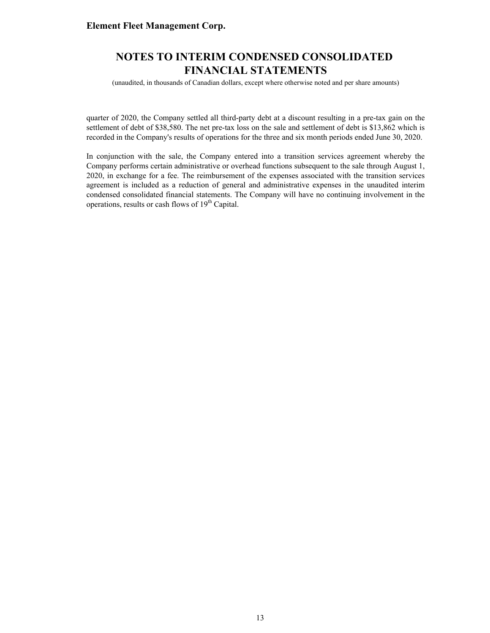## **NOTES TO INTERIM CONDENSED CONSOLIDATED FINANCIAL STATEMENTS**

(unaudited, in thousands of Canadian dollars, except where otherwise noted and per share amounts)

quarter of 2020, the Company settled all third-party debt at a discount resulting in a pre-tax gain on the settlement of debt of \$38,580. The net pre-tax loss on the sale and settlement of debt is \$13,862 which is recorded in the Company's results of operations for the three and six month periods ended June 30, 2020.

In conjunction with the sale, the Company entered into a transition services agreement whereby the Company performs certain administrative or overhead functions subsequent to the sale through August 1, 2020, in exchange for a fee. The reimbursement of the expenses associated with the transition services agreement is included as a reduction of general and administrative expenses in the unaudited interim condensed consolidated financial statements. The Company will have no continuing involvement in the operations, results or cash flows of  $19<sup>th</sup>$  Capital.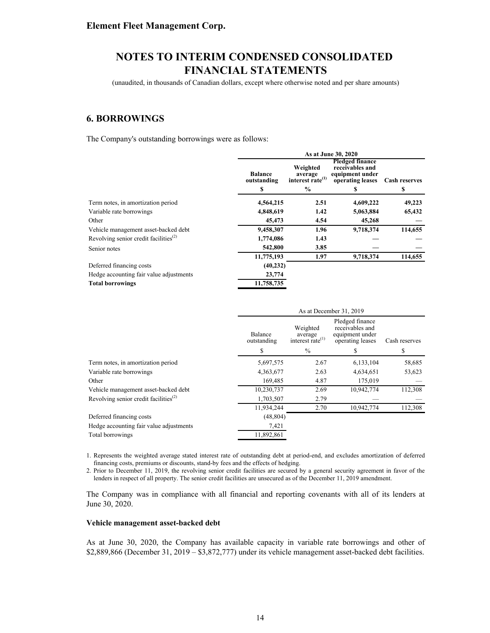(unaudited, in thousands of Canadian dollars, except where otherwise noted and per share amounts)

### **6. BORROWINGS**

The Company's outstanding borrowings were as follows:

|                                                                | As at June 30, 2020           |                                                                      |                                                                                  |                      |  |  |
|----------------------------------------------------------------|-------------------------------|----------------------------------------------------------------------|----------------------------------------------------------------------------------|----------------------|--|--|
|                                                                | <b>Balance</b><br>outstanding | Weighted<br>average<br>interest rate <sup>(1)</sup><br>$\frac{0}{0}$ | <b>Pledged finance</b><br>receivables and<br>equipment under<br>operating leases | <b>Cash reserves</b> |  |  |
|                                                                | S                             |                                                                      | S                                                                                | \$                   |  |  |
| Term notes, in amortization period                             | 4,564,215                     | 2.51                                                                 | 4,609,222                                                                        | 49,223               |  |  |
| Variable rate borrowings                                       | 4,848,619                     | 1.42                                                                 | 5,063,884                                                                        | 65,432               |  |  |
| Other                                                          | 45,473                        | 4.54                                                                 | 45,268                                                                           |                      |  |  |
| Vehicle management asset-backed debt                           | 9,458,307                     | 1.96                                                                 | 9,718,374                                                                        | 114,655              |  |  |
| Revolving senior credit facilities <sup><math>(2)</math></sup> | 1,774,086                     | 1.43                                                                 |                                                                                  |                      |  |  |
| Senior notes                                                   | 542,800                       | 3.85                                                                 |                                                                                  |                      |  |  |
|                                                                | 11,775,193                    | 1.97                                                                 | 9,718,374                                                                        | 114,655              |  |  |
| Deferred financing costs                                       | (40, 232)                     |                                                                      |                                                                                  |                      |  |  |
| Hedge accounting fair value adjustments                        | 23,774                        |                                                                      |                                                                                  |                      |  |  |
| <b>Total borrowings</b>                                        | 11,758,735                    |                                                                      |                                                                                  |                      |  |  |

|                                                                |                        | As at December 31, 2019                             |                                                                           |               |  |  |  |
|----------------------------------------------------------------|------------------------|-----------------------------------------------------|---------------------------------------------------------------------------|---------------|--|--|--|
|                                                                | Balance<br>outstanding | Weighted<br>average<br>interest rate <sup>(1)</sup> | Pledged finance<br>receivables and<br>equipment under<br>operating leases | Cash reserves |  |  |  |
|                                                                | \$                     | $\frac{0}{0}$                                       |                                                                           | \$            |  |  |  |
| Term notes, in amortization period                             | 5,697,575              | 2.67                                                | 6,133,104                                                                 | 58,685        |  |  |  |
| Variable rate borrowings                                       | 4,363,677              | 2.63                                                | 4,634,651                                                                 | 53,623        |  |  |  |
| Other                                                          | 169,485                | 4.87                                                | 175,019                                                                   |               |  |  |  |
| Vehicle management asset-backed debt                           | 10,230,737             | 2.69                                                | 10,942,774                                                                | 112,308       |  |  |  |
| Revolving senior credit facilities <sup><math>(2)</math></sup> | 1,703,507              | 2.79                                                |                                                                           |               |  |  |  |
|                                                                | 11,934,244             | 2.70                                                | 10,942,774                                                                | 112,308       |  |  |  |
| Deferred financing costs                                       | (48, 804)              |                                                     |                                                                           |               |  |  |  |
| Hedge accounting fair value adjustments                        | 7,421                  |                                                     |                                                                           |               |  |  |  |
| Total borrowings                                               | 11,892,861             |                                                     |                                                                           |               |  |  |  |

1. Represents the weighted average stated interest rate of outstanding debt at period-end, and excludes amortization of deferred financing costs, premiums or discounts, stand-by fees and the effects of hedging.

2. Prior to December 11, 2019, the revolving senior credit facilities are secured by a general security agreement in favor of the lenders in respect of all property. The senior credit facilities are unsecured as of the December 11, 2019 amendment.

The Company was in compliance with all financial and reporting covenants with all of its lenders at June 30, 2020.

#### **Vehicle management asset-backed debt**

As at June 30, 2020, the Company has available capacity in variable rate borrowings and other of \$2,889,866 (December 31, 2019 – \$3,872,777) under its vehicle management asset-backed debt facilities.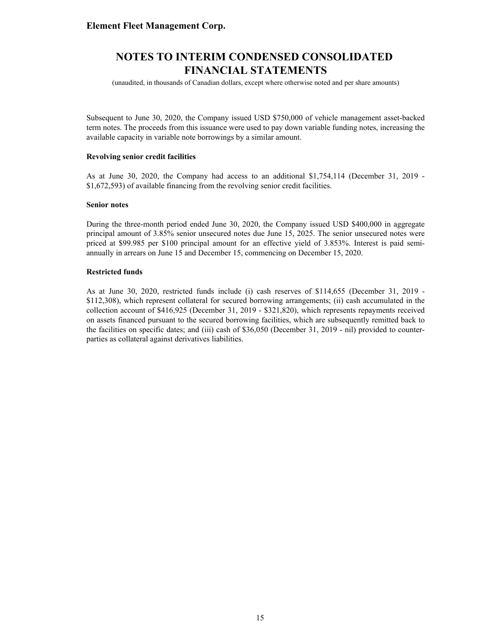(unaudited, in thousands of Canadian dollars, except where otherwise noted and per share amounts)

Subsequent to June 30, 2020, the Company issued USD \$750,000 of vehicle management asset-backed term notes. The proceeds from this issuance were used to pay down variable funding notes, increasing the available capacity in variable note borrowings by a similar amount.

#### **Revolving senior credit facilities**

As at June 30, 2020, the Company had access to an additional \$1,754,114 (December 31, 2019 - \$1,672,593) of available financing from the revolving senior credit facilities.

#### **Senior notes**

During the three-month period ended June 30, 2020, the Company issued USD \$400,000 in aggregate principal amount of 3.85% senior unsecured notes due June 15, 2025. The senior unsecured notes were priced at \$99.985 per \$100 principal amount for an effective yield of 3.853%. Interest is paid semiannually in arrears on June 15 and December 15, commencing on December 15, 2020.

#### **Restricted funds**

As at June 30, 2020, restricted funds include (i) cash reserves of \$114,655 (December 31, 2019 - \$112,308), which represent collateral for secured borrowing arrangements; (ii) cash accumulated in the collection account of \$416,925 (December 31, 2019 - \$321,820), which represents repayments received on assets financed pursuant to the secured borrowing facilities, which are subsequently remitted back to the facilities on specific dates; and (iii) cash of \$36,050 (December 31, 2019 - nil) provided to counterparties as collateral against derivatives liabilities.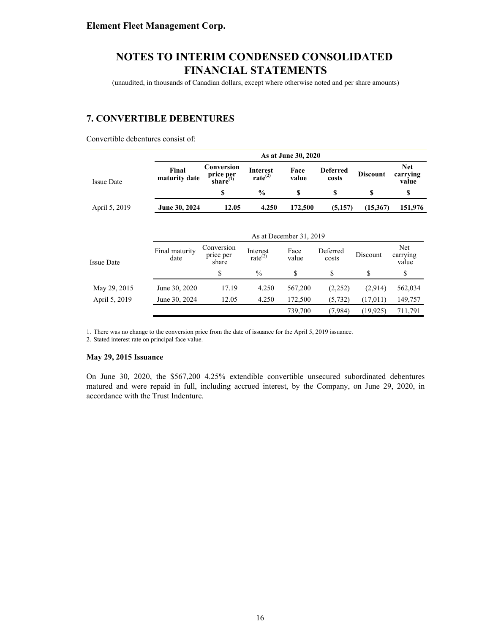(unaudited, in thousands of Canadian dollars, except where otherwise noted and per share amounts)

## **7. CONVERTIBLE DEBENTURES**

Convertible debentures consist of:

|                   |                        | As at June 30, 2020                       |                                        |                         |                          |                 |                                 |  |  |
|-------------------|------------------------|-------------------------------------------|----------------------------------------|-------------------------|--------------------------|-----------------|---------------------------------|--|--|
| <b>Issue Date</b> | Final<br>maturity date | Conversion<br>price per<br>share $^{(1)}$ | <b>Interest</b><br>rate <sup>(2)</sup> | Face<br>value           | <b>Deferred</b><br>costs | <b>Discount</b> | <b>Net</b><br>carrying<br>value |  |  |
|                   |                        | \$                                        | $\frac{0}{0}$                          | \$                      | \$                       | S               | \$                              |  |  |
| April 5, 2019     | June 30, 2024          | 12.05                                     | 4.250                                  | 172,500                 | (5,157)                  | (15,367)        | 151,976                         |  |  |
|                   |                        |                                           |                                        | As at December 31, 2019 |                          |                 |                                 |  |  |
| <b>Issue Date</b> | Final maturity<br>date | Conversion<br>price per<br>share          | Interest<br>rate $^{(2)}$              | Face<br>value           | Deferred<br>costs        | Discount        | Net<br>carrying<br>value        |  |  |
|                   |                        | \$                                        | $\frac{0}{0}$                          | \$                      | \$                       | \$              | \$                              |  |  |
| May 29, 2015      | June 30, 2020          | 17.19                                     | 4.250                                  | 567,200                 | (2,252)                  | (2,914)         | 562,034                         |  |  |
| April 5, 2019     | June 30, 2024          | 12.05                                     | 4.250                                  | 172,500                 | (5, 732)                 | (17,011)        | 149,757                         |  |  |
|                   |                        |                                           |                                        | 739,700                 | (7,984)                  | (19, 925)       | 711,791                         |  |  |

1. There was no change to the conversion price from the date of issuance for the April 5, 2019 issuance.

2. Stated interest rate on principal face value.

#### **May 29, 2015 Issuance**

On June 30, 2020, the \$567,200 4.25% extendible convertible unsecured subordinated debentures matured and were repaid in full, including accrued interest, by the Company, on June 29, 2020, in accordance with the Trust Indenture.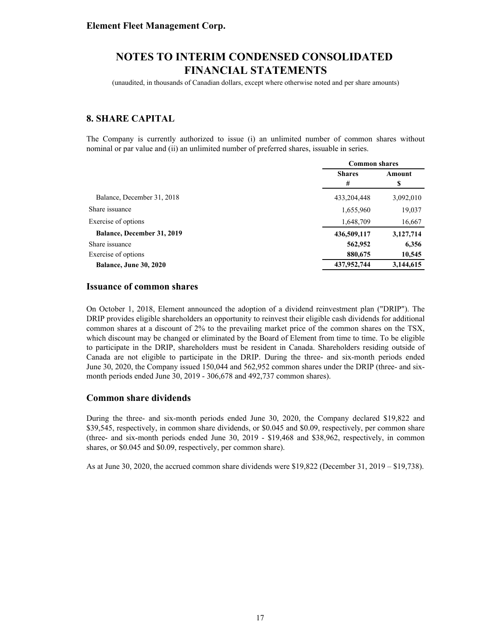(unaudited, in thousands of Canadian dollars, except where otherwise noted and per share amounts)

## **8. SHARE CAPITAL**

The Company is currently authorized to issue (i) an unlimited number of common shares without nominal or par value and (ii) an unlimited number of preferred shares, issuable in series.

|                                   | <b>Common shares</b>    |           |  |
|-----------------------------------|-------------------------|-----------|--|
|                                   | <b>Shares</b><br>Amount |           |  |
|                                   | #                       | \$        |  |
| Balance, December 31, 2018        | 433,204,448             | 3,092,010 |  |
| Share issuance                    | 1,655,960               | 19,037    |  |
| Exercise of options               | 1,648,709               | 16,667    |  |
| <b>Balance, December 31, 2019</b> | 436,509,117             | 3,127,714 |  |
| Share issuance                    | 562,952                 | 6,356     |  |
| Exercise of options               | 880,675                 | 10,545    |  |
| <b>Balance, June 30, 2020</b>     | 437,952,744             | 3,144,615 |  |

#### **Issuance of common shares**

On October 1, 2018, Element announced the adoption of a dividend reinvestment plan ("DRIP"). The DRIP provides eligible shareholders an opportunity to reinvest their eligible cash dividends for additional common shares at a discount of 2% to the prevailing market price of the common shares on the TSX, which discount may be changed or eliminated by the Board of Element from time to time. To be eligible to participate in the DRIP, shareholders must be resident in Canada. Shareholders residing outside of Canada are not eligible to participate in the DRIP. During the three- and six-month periods ended June 30, 2020, the Company issued 150,044 and 562,952 common shares under the DRIP (three- and sixmonth periods ended June 30, 2019 - 306,678 and 492,737 common shares).

#### **Common share dividends**

During the three- and six-month periods ended June 30, 2020, the Company declared \$19,822 and \$39,545, respectively, in common share dividends, or \$0.045 and \$0.09, respectively, per common share (three- and six-month periods ended June 30, 2019 - \$19,468 and \$38,962, respectively, in common shares, or \$0.045 and \$0.09, respectively, per common share).

As at June 30, 2020, the accrued common share dividends were \$19,822 (December 31, 2019 – \$19,738).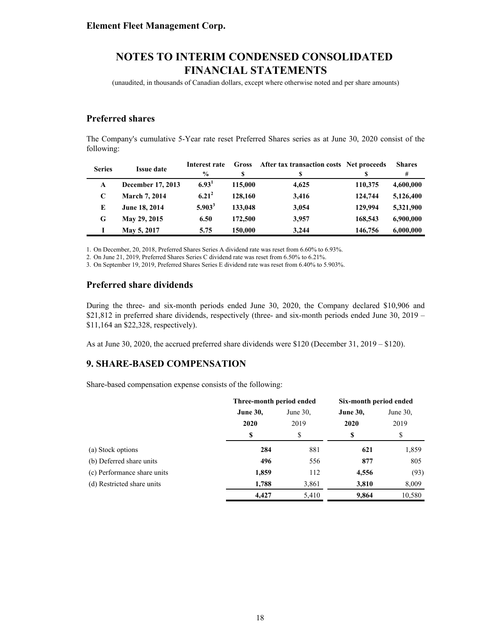(unaudited, in thousands of Canadian dollars, except where otherwise noted and per share amounts)

### **Preferred shares**

The Company's cumulative 5-Year rate reset Preferred Shares series as at June 30, 2020 consist of the following:

| <b>Series</b> | <b>Issue date</b>    | Interest rate     | <b>Gross</b> | After tax transaction costs Net proceeds |         | <b>Shares</b> |
|---------------|----------------------|-------------------|--------------|------------------------------------------|---------|---------------|
|               |                      | $\frac{0}{0}$     | S            |                                          |         | #             |
| A             | December 17, 2013    | 6.93 <sup>1</sup> | 115,000      | 4.625                                    | 110,375 | 4,600,000     |
| C             | <b>March 7, 2014</b> | $6.21^{2}$        | 128,160      | 3,416                                    | 124,744 | 5,126,400     |
| E             | June 18, 2014        | $5.903^3$         | 133,048      | 3,054                                    | 129,994 | 5,321,900     |
| G             | May 29, 2015         | 6.50              | 172,500      | 3.957                                    | 168,543 | 6,900,000     |
|               | May 5, 2017          | 5.75              | 150,000      | 3.244                                    | 146,756 | 6,000,000     |

1. On December, 20, 2018, Preferred Shares Series A dividend rate was reset from 6.60% to 6.93%.

2. On June 21, 2019, Preferred Shares Series C dividend rate was reset from 6.50% to 6.21%.

3. On September 19, 2019, Preferred Shares Series E dividend rate was reset from 6.40% to 5.903%.

### **Preferred share dividends**

During the three- and six-month periods ended June 30, 2020, the Company declared \$10,906 and \$21,812 in preferred share dividends, respectively (three- and six-month periods ended June 30, 2019 – \$11,164 an \$22,328, respectively).

As at June 30, 2020, the accrued preferred share dividends were \$120 (December 31, 2019 – \$120).

### **9. SHARE-BASED COMPENSATION**

Share-based compensation expense consists of the following:

|                             | Three-month period ended |             | Six-month period ended |             |  |
|-----------------------------|--------------------------|-------------|------------------------|-------------|--|
|                             | <b>June 30,</b>          | June $30$ . |                        | June $30$ . |  |
|                             | 2020                     | 2019        | 2020                   | 2019        |  |
|                             | \$                       | S           | \$                     | \$          |  |
| (a) Stock options           | 284                      | 881         | 621                    | 1,859       |  |
| (b) Deferred share units    | 496                      | 556         | 877                    | 805         |  |
| (c) Performance share units | 1,859                    | 112         | 4,556                  | (93)        |  |
| (d) Restricted share units  | 1,788                    | 3,861       | 3,810                  | 8,009       |  |
|                             | 4,427                    | 5,410       | 9,864                  | 10,580      |  |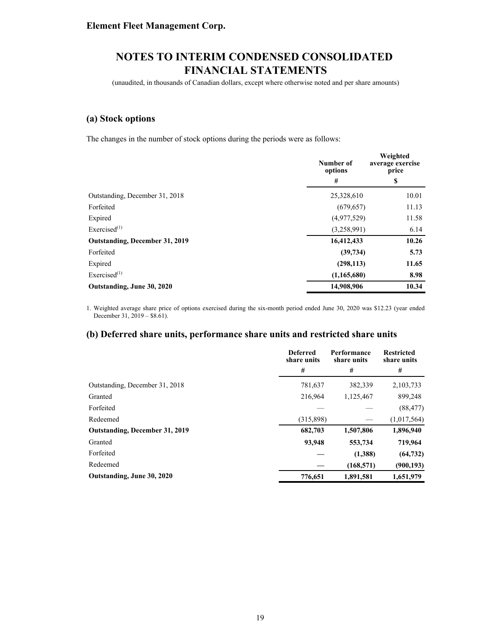(unaudited, in thousands of Canadian dollars, except where otherwise noted and per share amounts)

### **(a) Stock options**

The changes in the number of stock options during the periods were as follows:

|                                | Number of<br>options | Weighted<br>average exercise<br>price |
|--------------------------------|----------------------|---------------------------------------|
|                                | #                    | \$                                    |
| Outstanding, December 31, 2018 | 25,328,610           | 10.01                                 |
| Forfeited                      | (679, 657)           | 11.13                                 |
| Expired                        | (4,977,529)          | 11.58                                 |
| Exercised $(1)$                | (3,258,991)          | 6.14                                  |
| Outstanding, December 31, 2019 | 16,412,433           | 10.26                                 |
| Forfeited                      | (39, 734)            | 5.73                                  |
| Expired                        | (298, 113)           | 11.65                                 |
| Exercised <sup>(1)</sup>       | (1,165,680)          | 8.98                                  |
| Outstanding, June 30, 2020     | 14,908,906           | 10.34                                 |

1. Weighted average share price of options exercised during the six-month period ended June 30, 2020 was \$12.23 (year ended December 31, 2019 – \$8.61).

### **(b) Deferred share units, performance share units and restricted share units**

|                                       | <b>Deferred</b><br>share units | Performance<br>share units | <b>Restricted</b><br>share units |
|---------------------------------------|--------------------------------|----------------------------|----------------------------------|
|                                       | #                              | #                          | #                                |
| Outstanding, December 31, 2018        | 781,637                        | 382,339                    | 2,103,733                        |
| Granted                               | 216,964                        | 1,125,467                  | 899,248                          |
| Forfeited                             |                                |                            | (88, 477)                        |
| Redeemed                              | (315,898)                      |                            | (1,017,564)                      |
| <b>Outstanding, December 31, 2019</b> | 682,703                        | 1,507,806                  | 1,896,940                        |
| Granted                               | 93,948                         | 553,734                    | 719,964                          |
| Forfeited                             |                                | (1,388)                    | (64, 732)                        |
| Redeemed                              |                                | (168, 571)                 | (900, 193)                       |
| Outstanding, June 30, 2020            | 776,651                        | 1,891,581                  | 1,651,979                        |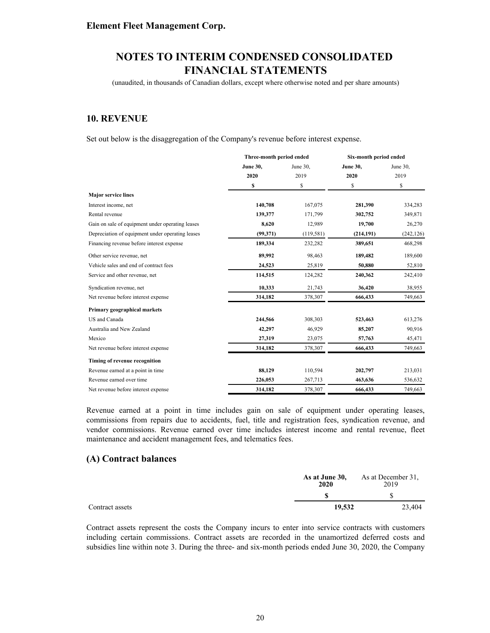(unaudited, in thousands of Canadian dollars, except where otherwise noted and per share amounts)

### **10. REVENUE**

Set out below is the disaggregation of the Company's revenue before interest expense.

|                                                  | Three-month period ended |            | Six-month period ended |            |
|--------------------------------------------------|--------------------------|------------|------------------------|------------|
|                                                  | <b>June 30,</b>          | June 30,   | <b>June 30,</b>        | June 30,   |
|                                                  | 2020                     | 2019       | 2020                   | 2019       |
|                                                  | \$                       | \$         | \$                     | \$         |
| <b>Major service lines</b>                       |                          |            |                        |            |
| Interest income, net                             | 140,708                  | 167,075    | 281,390                | 334,283    |
| Rental revenue                                   | 139,377                  | 171,799    | 302,752                | 349,871    |
| Gain on sale of equipment under operating leases | 8,620                    | 12,989     | 19,700                 | 26,270     |
| Depreciation of equipment under operating leases | (99,371)                 | (119, 581) | (214, 191)             | (242, 126) |
| Financing revenue before interest expense        | 189,334                  | 232,282    | 389,651                | 468,298    |
| Other service revenue, net                       | 89,992                   | 98,463     | 189,482                | 189,600    |
| Vehicle sales and end of contract fees           | 24,523                   | 25,819     | 50,880                 | 52,810     |
| Service and other revenue, net                   | 114,515                  | 124,282    | 240,362                | 242,410    |
| Syndication revenue, net                         | 10,333                   | 21,743     | 36,420                 | 38,955     |
| Net revenue before interest expense              | 314,182                  | 378,307    | 666,433                | 749,663    |
| Primary geographical markets                     |                          |            |                        |            |
| US and Canada                                    | 244,566                  | 308,303    | 523,463                | 613,276    |
| Australia and New Zealand                        | 42,297                   | 46,929     | 85,207                 | 90,916     |
| Mexico                                           | 27,319                   | 23,075     | 57,763                 | 45,471     |
| Net revenue before interest expense              | 314,182                  | 378,307    | 666,433                | 749,663    |
| Timing of revenue recognition                    |                          |            |                        |            |
| Revenue earned at a point in time                | 88,129                   | 110,594    | 202,797                | 213,031    |
| Revenue earned over time                         | 226,053                  | 267,713    | 463,636                | 536,632    |
| Net revenue before interest expense              | 314,182                  | 378,307    | 666,433                | 749.663    |

Revenue earned at a point in time includes gain on sale of equipment under operating leases, commissions from repairs due to accidents, fuel, title and registration fees, syndication revenue, and vendor commissions. Revenue earned over time includes interest income and rental revenue, fleet maintenance and accident management fees, and telematics fees.

### **(A) Contract balances**

|                 | As at June 30,<br>2020 | As at December 31.<br>2019 |
|-----------------|------------------------|----------------------------|
|                 |                        |                            |
| Contract assets | 19.532                 | 23.404                     |

Contract assets represent the costs the Company incurs to enter into service contracts with customers including certain commissions. Contract assets are recorded in the unamortized deferred costs and subsidies line within note 3. During the three- and six-month periods ended June 30, 2020, the Company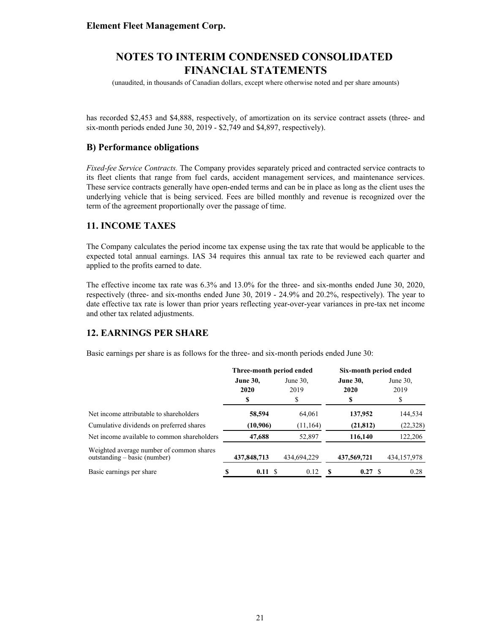(unaudited, in thousands of Canadian dollars, except where otherwise noted and per share amounts)

has recorded \$2,453 and \$4,888, respectively, of amortization on its service contract assets (three- and six-month periods ended June 30, 2019 - \$2,749 and \$4,897, respectively).

### **B) Performance obligations**

*Fixed-fee Service Contracts.* The Company provides separately priced and contracted service contracts to its fleet clients that range from fuel cards, accident management services, and maintenance services. These service contracts generally have open-ended terms and can be in place as long as the client uses the underlying vehicle that is being serviced. Fees are billed monthly and revenue is recognized over the term of the agreement proportionally over the passage of time.

### **11. INCOME TAXES**

The Company calculates the period income tax expense using the tax rate that would be applicable to the expected total annual earnings. IAS 34 requires this annual tax rate to be reviewed each quarter and applied to the profits earned to date.

The effective income tax rate was 6.3% and 13.0% for the three- and six-months ended June 30, 2020, respectively (three- and six-months ended June 30, 2019 - 24.9% and 20.2%, respectively). The year to date effective tax rate is lower than prior years reflecting year-over-year variances in pre-tax net income and other tax related adjustments.

### **12. EARNINGS PER SHARE**

Basic earnings per share is as follows for the three- and six-month periods ended June 30:

|                                                                            | Three-month period ended |             |             | Six-month period ended |   |                 |  |             |  |
|----------------------------------------------------------------------------|--------------------------|-------------|-------------|------------------------|---|-----------------|--|-------------|--|
|                                                                            | <b>June 30,</b>          |             | June $30$ , |                        |   | <b>June 30,</b> |  | June $30$ . |  |
|                                                                            |                          | 2020        | 2019        |                        |   | 2020            |  | 2019        |  |
|                                                                            |                          |             | \$          |                        |   | \$              |  |             |  |
| Net income attributable to shareholders                                    |                          | 58,594      |             | 64,061                 |   | 137,952         |  | 144,534     |  |
| Cumulative dividends on preferred shares                                   |                          | (10,906)    |             | (11, 164)              |   | (21, 812)       |  | (22, 328)   |  |
| Net income available to common shareholders                                |                          | 47,688      |             | 52,897                 |   | 116,140         |  | 122,206     |  |
| Weighted average number of common shares<br>outstanding $-$ basic (number) |                          | 437,848,713 | 434,694,229 |                        |   | 437,569,721     |  | 434,157,978 |  |
| Basic earnings per share                                                   |                          | 0.11        |             | 0.12                   | S | 0.27            |  | 0.28        |  |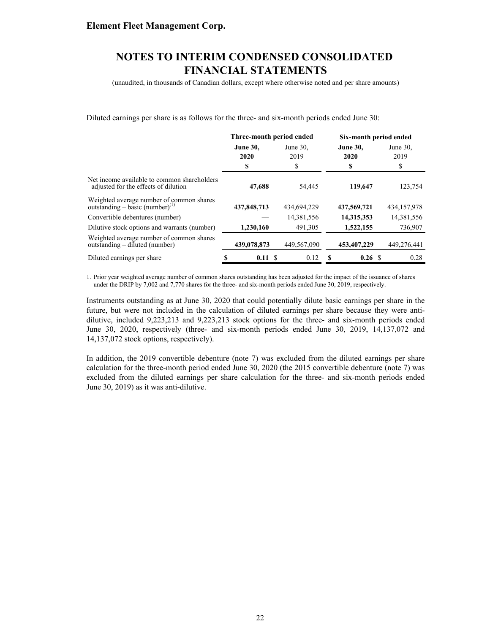(unaudited, in thousands of Canadian dollars, except where otherwise noted and per share amounts)

Diluted earnings per share is as follows for the three- and six-month periods ended June 30:

|                                                                                         |                               | Three-month period ended  | Six-month period ended        |                           |  |
|-----------------------------------------------------------------------------------------|-------------------------------|---------------------------|-------------------------------|---------------------------|--|
|                                                                                         | <b>June 30,</b><br>2020<br>\$ | June $30$ .<br>2019<br>\$ | <b>June 30,</b><br>2020<br>\$ | June $30$ .<br>2019<br>\$ |  |
| Net income available to common shareholders<br>adjusted for the effects of dilution     | 47,688                        | 54,445                    | 119,647                       | 123,754                   |  |
| Weighted average number of common shares<br>outstanding – basic (number) <sup>(1)</sup> | 437,848,713                   | 434,694,229               | 437,569,721                   | 434, 157, 978             |  |
| Convertible debentures (number)                                                         |                               | 14,381,556                | 14,315,353                    | 14,381,556                |  |
| Dilutive stock options and warrants (number)                                            | 1,230,160                     | 491,305                   | 1,522,155                     | 736,907                   |  |
| Weighted average number of common shares<br>outstanding – diluted (number)              | 439,078,873                   | 449,567,090               | 453,407,229                   | 449,276,441               |  |
| Diluted earnings per share                                                              | 0.11S                         | 0.12                      | 0.26 S<br>S                   | 0.28                      |  |

1. Prior year weighted average number of common shares outstanding has been adjusted for the impact of the issuance of shares under the DRIP by 7,002 and 7,770 shares for the three- and six-month periods ended June 30, 2019, respectively.

Instruments outstanding as at June 30, 2020 that could potentially dilute basic earnings per share in the future, but were not included in the calculation of diluted earnings per share because they were antidilutive, included 9,223,213 and 9,223,213 stock options for the three- and six-month periods ended June 30, 2020, respectively (three- and six-month periods ended June 30, 2019, 14,137,072 and 14,137,072 stock options, respectively).

In addition, the 2019 convertible debenture (note 7) was excluded from the diluted earnings per share calculation for the three-month period ended June 30, 2020 (the 2015 convertible debenture (note 7) was excluded from the diluted earnings per share calculation for the three- and six-month periods ended June 30, 2019) as it was anti-dilutive.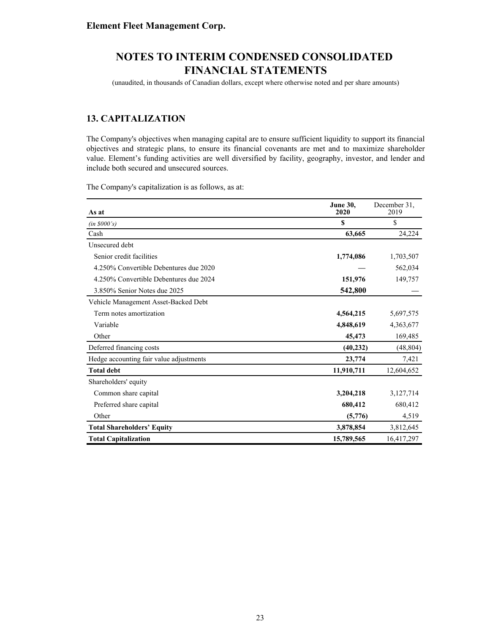(unaudited, in thousands of Canadian dollars, except where otherwise noted and per share amounts)

## **13. CAPITALIZATION**

The Company's objectives when managing capital are to ensure sufficient liquidity to support its financial objectives and strategic plans, to ensure its financial covenants are met and to maximize shareholder value. Element's funding activities are well diversified by facility, geography, investor, and lender and include both secured and unsecured sources.

The Company's capitalization is as follows, as at:

| As at                                   | <b>June 30.</b><br>2020 | December 31,<br>2019 |
|-----------------------------------------|-------------------------|----------------------|
| (in 8000's)                             | \$                      | \$                   |
| Cash                                    | 63,665                  | 24,224               |
| Unsecured debt                          |                         |                      |
| Senior credit facilities                | 1,774,086               | 1,703,507            |
| 4.250% Convertible Debentures due 2020  |                         | 562,034              |
| 4.250% Convertible Debentures due 2024  | 151,976                 | 149,757              |
| 3.850% Senior Notes due 2025            | 542,800                 |                      |
| Vehicle Management Asset-Backed Debt    |                         |                      |
| Term notes amortization                 | 4,564,215               | 5,697,575            |
| Variable                                | 4,848,619               | 4,363,677            |
| Other                                   | 45,473                  | 169,485              |
| Deferred financing costs                | (40, 232)               | (48, 804)            |
| Hedge accounting fair value adjustments | 23,774                  | 7,421                |
| <b>Total debt</b>                       | 11,910,711              | 12,604,652           |
| Shareholders' equity                    |                         |                      |
| Common share capital                    | 3,204,218               | 3,127,714            |
| Preferred share capital                 | 680,412                 | 680,412              |
| Other                                   | (5,776)                 | 4,519                |
| <b>Total Shareholders' Equity</b>       | 3,878,854               | 3,812,645            |
| <b>Total Capitalization</b>             | 15,789,565              | 16,417,297           |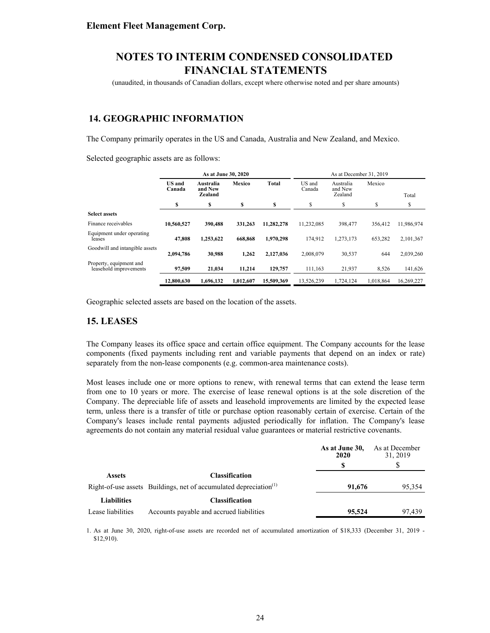(unaudited, in thousands of Canadian dollars, except where otherwise noted and per share amounts)

## **14. GEOGRAPHIC INFORMATION**

The Company primarily operates in the US and Canada, Australia and New Zealand, and Mexico.

Selected geographic assets are as follows:

|                                                   | As at June 30, 2020     |                                 |           |            |                  | As at December 31, 2019         |           |            |
|---------------------------------------------------|-------------------------|---------------------------------|-----------|------------|------------------|---------------------------------|-----------|------------|
|                                                   | <b>US</b> and<br>Canada | Australia<br>and New<br>Zealand | Mexico    | Total      | US and<br>Canada | Australia<br>and New<br>Zealand | Mexico    | Total      |
|                                                   | S                       | \$                              | \$        | S          | S                | \$                              | \$        | S          |
| <b>Select assets</b>                              |                         |                                 |           |            |                  |                                 |           |            |
| Finance receivables                               | 10,560,527              | 390,488                         | 331,263   | 11.282.278 | 11,232,085       | 398,477                         | 356.412   | 11,986,974 |
| Equipment under operating<br>leases               | 47.808                  | 1.253.622                       | 668,868   | 1.970.298  | 174.912          | 1,273,173                       | 653,282   | 2,101,367  |
| Goodwill and intangible assets                    | 2,094,786               | 30.988                          | 1.262     | 2,127,036  | 2.008.079        | 30,537                          | 644       | 2,039,260  |
| Property, equipment and<br>leasehold improvements | 97,509                  | 21.034                          | 11.214    | 129,757    | 111,163          | 21,937                          | 8,526     | 141,626    |
|                                                   | 12,800,630              | 1.696.132                       | 1.012.607 | 15.509.369 | 13.526.239       | 1.724.124                       | 1.018.864 | 16.269.227 |

Geographic selected assets are based on the location of the assets.

### **15. LEASES**

The Company leases its office space and certain office equipment. The Company accounts for the lease components (fixed payments including rent and variable payments that depend on an index or rate) separately from the non-lease components (e.g. common-area maintenance costs).

Most leases include one or more options to renew, with renewal terms that can extend the lease term from one to 10 years or more. The exercise of lease renewal options is at the sole discretion of the Company. The depreciable life of assets and leasehold improvements are limited by the expected lease term, unless there is a transfer of title or purchase option reasonably certain of exercise. Certain of the Company's leases include rental payments adjusted periodically for inflation. The Company's lease agreements do not contain any material residual value guarantees or material restrictive covenants.

|                    |                                                                               | As at June 30,<br>2020 | As at December<br>31, 2019 |
|--------------------|-------------------------------------------------------------------------------|------------------------|----------------------------|
|                    |                                                                               |                        |                            |
| <b>Assets</b>      | <b>Classification</b>                                                         |                        |                            |
|                    | Right-of-use assets Buildings, net of accumulated depreciation <sup>(1)</sup> | 91,676                 | 95,354                     |
| <b>Liabilities</b> | <b>Classification</b>                                                         |                        |                            |
| Lease liabilities  | Accounts payable and accrued liabilities                                      | 95,524                 | 97.439                     |

1. As at June 30, 2020, right-of-use assets are recorded net of accumulated amortization of \$18,333 (December 31, 2019 - \$12,910).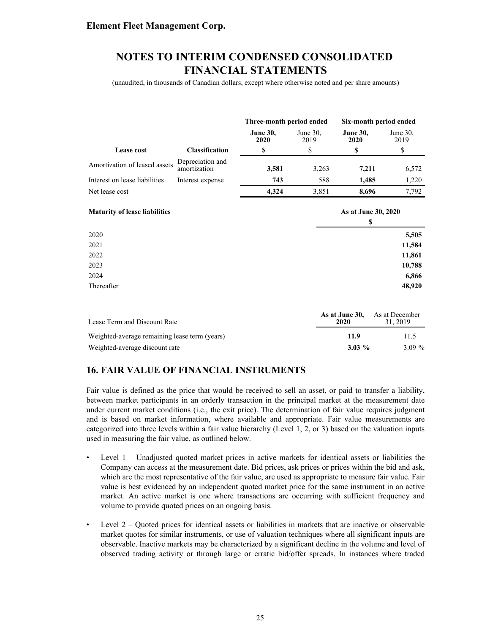## **NOTES TO INTERIM CONDENSED CONSOLIDATED FINANCIAL STATEMENTS**

(unaudited, in thousands of Canadian dollars, except where otherwise noted and per share amounts)

|                               |                                  | Three-month period ended |                     | Six-month period ended  |                     |
|-------------------------------|----------------------------------|--------------------------|---------------------|-------------------------|---------------------|
|                               |                                  | <b>June 30,</b><br>2020  | June $30$ ,<br>2019 | <b>June 30,</b><br>2020 | June $30$ ,<br>2019 |
| Lease cost                    | <b>Classification</b>            |                          |                     | \$                      | S                   |
| Amortization of leased assets | Depreciation and<br>amortization | 3,581                    | 3,263               | 7.211                   | 6,572               |
| Interest on lease liabilities | Interest expense                 | 743                      | 588                 | 1.485                   | 1,220               |
| Net lease cost                |                                  | 4.324                    | 3,851               | 8.696                   | 7.792               |

| <b>Maturity of lease liabilities</b> | As at June 30, 2020<br>\$ |
|--------------------------------------|---------------------------|
|                                      |                           |
| 2020                                 | 5,505                     |
| 2021                                 | 11,584                    |
| 2022                                 | 11,861                    |
| 2023                                 | 10,788                    |
| 2024                                 | 6,866                     |
| Thereafter                           | 48,920                    |

| Lease Term and Discount Rate                  | As at June 30.<br>2020 | As at December<br>31, 2019 |
|-----------------------------------------------|------------------------|----------------------------|
| Weighted-average remaining lease term (years) | 11.9                   | 11.5                       |
| Weighted-average discount rate                | $3.03\%$               | $3.09\%$                   |

## **16. FAIR VALUE OF FINANCIAL INSTRUMENTS**

Fair value is defined as the price that would be received to sell an asset, or paid to transfer a liability, between market participants in an orderly transaction in the principal market at the measurement date under current market conditions (i.e., the exit price). The determination of fair value requires judgment and is based on market information, where available and appropriate. Fair value measurements are categorized into three levels within a fair value hierarchy (Level 1, 2, or 3) based on the valuation inputs used in measuring the fair value, as outlined below.

- Level 1 Unadjusted quoted market prices in active markets for identical assets or liabilities the Company can access at the measurement date. Bid prices, ask prices or prices within the bid and ask, which are the most representative of the fair value, are used as appropriate to measure fair value. Fair value is best evidenced by an independent quoted market price for the same instrument in an active market. An active market is one where transactions are occurring with sufficient frequency and volume to provide quoted prices on an ongoing basis.
- Level 2 Quoted prices for identical assets or liabilities in markets that are inactive or observable market quotes for similar instruments, or use of valuation techniques where all significant inputs are observable. Inactive markets may be characterized by a significant decline in the volume and level of observed trading activity or through large or erratic bid/offer spreads. In instances where traded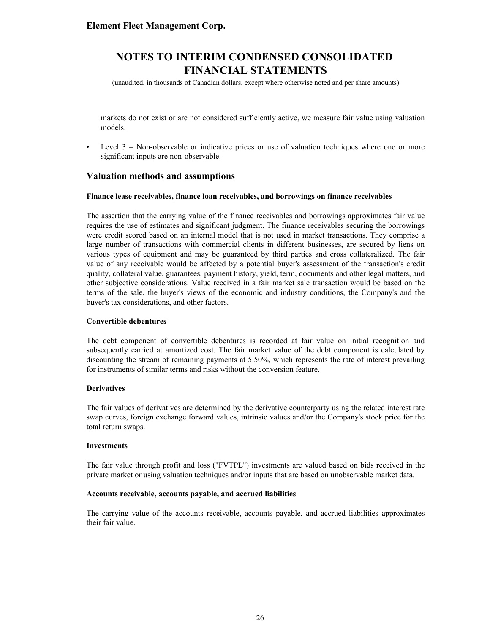(unaudited, in thousands of Canadian dollars, except where otherwise noted and per share amounts)

markets do not exist or are not considered sufficiently active, we measure fair value using valuation models.

• Level 3 – Non-observable or indicative prices or use of valuation techniques where one or more significant inputs are non-observable.

### **Valuation methods and assumptions**

#### **Finance lease receivables, finance loan receivables, and borrowings on finance receivables**

The assertion that the carrying value of the finance receivables and borrowings approximates fair value requires the use of estimates and significant judgment. The finance receivables securing the borrowings were credit scored based on an internal model that is not used in market transactions. They comprise a large number of transactions with commercial clients in different businesses, are secured by liens on various types of equipment and may be guaranteed by third parties and cross collateralized. The fair value of any receivable would be affected by a potential buyer's assessment of the transaction's credit quality, collateral value, guarantees, payment history, yield, term, documents and other legal matters, and other subjective considerations. Value received in a fair market sale transaction would be based on the terms of the sale, the buyer's views of the economic and industry conditions, the Company's and the buyer's tax considerations, and other factors.

#### **Convertible debentures**

The debt component of convertible debentures is recorded at fair value on initial recognition and subsequently carried at amortized cost. The fair market value of the debt component is calculated by discounting the stream of remaining payments at 5.50%, which represents the rate of interest prevailing for instruments of similar terms and risks without the conversion feature.

#### **Derivatives**

The fair values of derivatives are determined by the derivative counterparty using the related interest rate swap curves, foreign exchange forward values, intrinsic values and/or the Company's stock price for the total return swaps.

#### **Investments**

The fair value through profit and loss ("FVTPL") investments are valued based on bids received in the private market or using valuation techniques and/or inputs that are based on unobservable market data.

#### **Accounts receivable, accounts payable, and accrued liabilities**

The carrying value of the accounts receivable, accounts payable, and accrued liabilities approximates their fair value.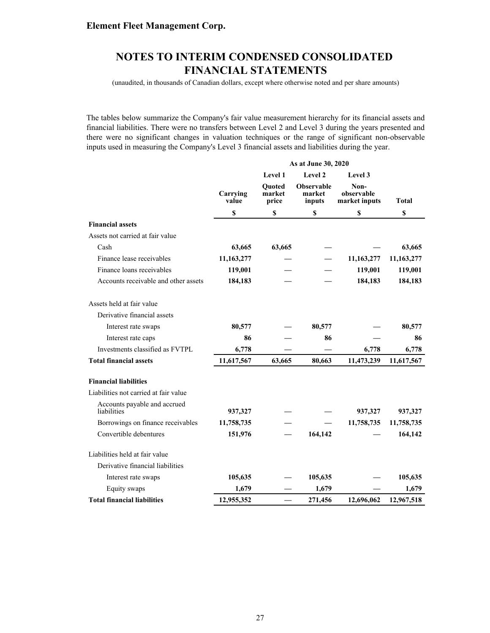(unaudited, in thousands of Canadian dollars, except where otherwise noted and per share amounts)

The tables below summarize the Company's fair value measurement hierarchy for its financial assets and financial liabilities. There were no transfers between Level 2 and Level 3 during the years presented and there were no significant changes in valuation techniques or the range of significant non-observable inputs used in measuring the Company's Level 3 financial assets and liabilities during the year.

|                                             | As at June 30, 2020 |                                  |                                       |                                     |              |
|---------------------------------------------|---------------------|----------------------------------|---------------------------------------|-------------------------------------|--------------|
|                                             |                     | Level 1<br>Level 2               |                                       | <b>Level</b> 3                      |              |
|                                             | Carrying<br>value   | <b>Ouoted</b><br>market<br>price | <b>Observable</b><br>market<br>inputs | Non-<br>observable<br>market inputs | <b>Total</b> |
|                                             | \$                  | \$                               | \$                                    | \$                                  | $\mathbb S$  |
| <b>Financial assets</b>                     |                     |                                  |                                       |                                     |              |
| Assets not carried at fair value            |                     |                                  |                                       |                                     |              |
| Cash                                        | 63,665              | 63,665                           |                                       |                                     | 63,665       |
| Finance lease receivables                   | 11,163,277          |                                  |                                       | 11,163,277                          | 11,163,277   |
| Finance loans receivables                   | 119,001             |                                  |                                       | 119,001                             | 119,001      |
| Accounts receivable and other assets        | 184,183             |                                  |                                       | 184,183                             | 184,183      |
| Assets held at fair value                   |                     |                                  |                                       |                                     |              |
| Derivative financial assets                 |                     |                                  |                                       |                                     |              |
| Interest rate swaps                         | 80,577              |                                  | 80,577                                |                                     | 80,577       |
| Interest rate caps                          | 86                  |                                  | 86                                    |                                     | 86           |
| Investments classified as FVTPL             | 6,778               |                                  |                                       | 6,778                               | 6,778        |
| <b>Total financial assets</b>               | 11,617,567          | 63,665                           | 80,663                                | 11,473,239                          | 11,617,567   |
| <b>Financial liabilities</b>                |                     |                                  |                                       |                                     |              |
| Liabilities not carried at fair value       |                     |                                  |                                       |                                     |              |
| Accounts payable and accrued<br>liabilities | 937,327             |                                  |                                       | 937,327                             | 937,327      |
| Borrowings on finance receivables           | 11,758,735          |                                  |                                       | 11,758,735                          | 11,758,735   |
| Convertible debentures                      | 151,976             |                                  | 164,142                               |                                     | 164,142      |
| Liabilities held at fair value              |                     |                                  |                                       |                                     |              |
| Derivative financial liabilities            |                     |                                  |                                       |                                     |              |
| Interest rate swaps                         | 105,635             |                                  | 105,635                               |                                     | 105,635      |
| Equity swaps                                | 1,679               |                                  | 1,679                                 |                                     | 1,679        |
| <b>Total financial liabilities</b>          | 12,955,352          |                                  | 271,456                               | 12,696,062                          | 12,967,518   |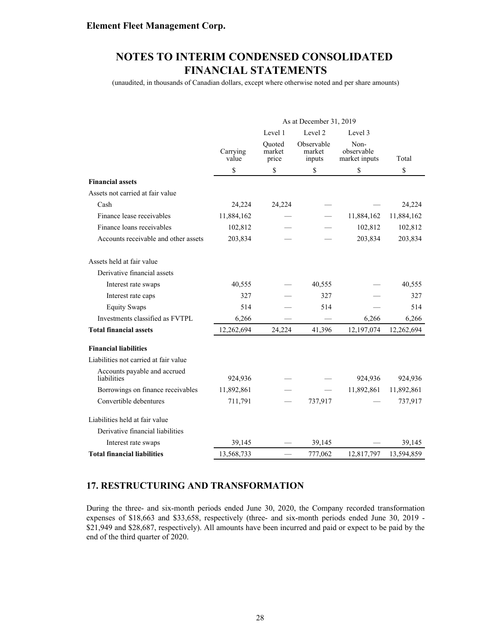(unaudited, in thousands of Canadian dollars, except where otherwise noted and per share amounts)

|                                             | As at December 31, 2019       |                           |                                |                                     |            |  |  |
|---------------------------------------------|-------------------------------|---------------------------|--------------------------------|-------------------------------------|------------|--|--|
|                                             | Level 2<br>Level 1<br>Level 3 |                           |                                |                                     |            |  |  |
|                                             | Carrying<br>value             | Ouoted<br>market<br>price | Observable<br>market<br>inputs | Non-<br>observable<br>market inputs | Total      |  |  |
|                                             | \$                            | \$                        | \$                             | \$                                  | \$         |  |  |
| <b>Financial assets</b>                     |                               |                           |                                |                                     |            |  |  |
| Assets not carried at fair value            |                               |                           |                                |                                     |            |  |  |
| Cash                                        | 24,224                        | 24,224                    |                                |                                     | 24,224     |  |  |
| Finance lease receivables                   | 11,884,162                    |                           |                                | 11,884,162                          | 11,884,162 |  |  |
| Finance loans receivables                   | 102,812                       |                           |                                | 102,812                             | 102,812    |  |  |
| Accounts receivable and other assets        | 203,834                       |                           |                                | 203,834                             | 203,834    |  |  |
| Assets held at fair value                   |                               |                           |                                |                                     |            |  |  |
| Derivative financial assets                 |                               |                           |                                |                                     |            |  |  |
| Interest rate swaps                         | 40,555                        |                           | 40,555                         |                                     | 40,555     |  |  |
| Interest rate caps                          | 327                           |                           | 327                            |                                     | 327        |  |  |
| <b>Equity Swaps</b>                         | 514                           |                           | 514                            |                                     | 514        |  |  |
| Investments classified as FVTPL             | 6,266                         |                           |                                | 6,266                               | 6,266      |  |  |
| <b>Total financial assets</b>               | 12,262,694                    | 24,224                    | 41,396                         | 12,197,074                          | 12,262,694 |  |  |
| <b>Financial liabilities</b>                |                               |                           |                                |                                     |            |  |  |
| Liabilities not carried at fair value       |                               |                           |                                |                                     |            |  |  |
| Accounts payable and accrued<br>liabilities | 924,936                       |                           |                                | 924,936                             | 924,936    |  |  |
| Borrowings on finance receivables           | 11,892,861                    |                           |                                | 11,892,861                          | 11,892,861 |  |  |
| Convertible debentures                      | 711,791                       |                           | 737,917                        |                                     | 737,917    |  |  |
| Liabilities held at fair value              |                               |                           |                                |                                     |            |  |  |
| Derivative financial liabilities            |                               |                           |                                |                                     |            |  |  |
| Interest rate swaps                         | 39,145                        |                           | 39,145                         |                                     | 39,145     |  |  |
| <b>Total financial liabilities</b>          | 13,568,733                    |                           | 777,062                        | 12,817,797                          | 13,594,859 |  |  |

## **17. RESTRUCTURING AND TRANSFORMATION**

During the three- and six-month periods ended June 30, 2020, the Company recorded transformation expenses of \$18,663 and \$33,658, respectively (three- and six-month periods ended June 30, 2019 - \$21,949 and \$28,687, respectively). All amounts have been incurred and paid or expect to be paid by the end of the third quarter of 2020.